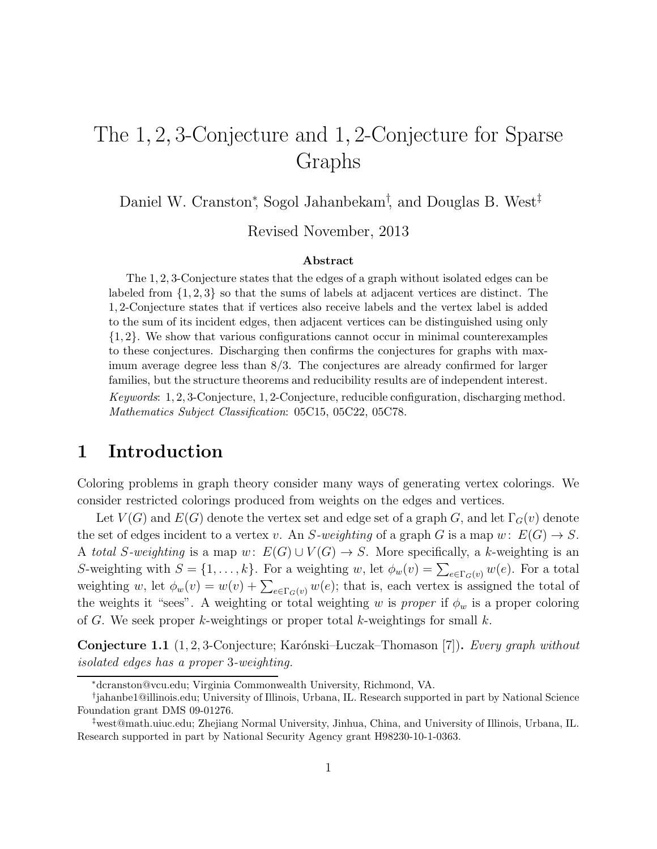# The 1, 2, 3-Conjecture and 1, 2-Conjecture for Sparse Graphs

Daniel W. Cranston<sup>\*</sup>, Sogol Jahanbekam<sup>†</sup>, and Douglas B. West<sup>‡</sup>

Revised November, 2013

#### Abstract

The 1, 2, 3-Conjecture states that the edges of a graph without isolated edges can be labeled from  $\{1, 2, 3\}$  so that the sums of labels at adjacent vertices are distinct. The 1, 2-Conjecture states that if vertices also receive labels and the vertex label is added to the sum of its incident edges, then adjacent vertices can be distinguished using only {1, 2}. We show that various configurations cannot occur in minimal counterexamples to these conjectures. Discharging then confirms the conjectures for graphs with maximum average degree less than 8/3. The conjectures are already confirmed for larger families, but the structure theorems and reducibility results are of independent interest.

Keywords: 1, 2, 3-Conjecture, 1, 2-Conjecture, reducible configuration, discharging method. Mathematics Subject Classification: 05C15, 05C22, 05C78.

### 1 Introduction

Coloring problems in graph theory consider many ways of generating vertex colorings. We consider restricted colorings produced from weights on the edges and vertices.

Let  $V(G)$  and  $E(G)$  denote the vertex set and edge set of a graph G, and let  $\Gamma_G(v)$  denote the set of edges incident to a vertex v. An S-weighting of a graph G is a map w:  $E(G) \to S$ . A *total* S-weighting is a map w:  $E(G) \cup V(G) \rightarrow S$ . More specifically, a k-weighting is an S-weighting with  $S = \{1, \ldots, k\}$ . For a weighting w, let  $\phi_w(v) = \sum_{e \in \Gamma_G(v)} w(e)$ . For a total weighting w, let  $\phi_w(v) = w(v) + \sum_{e \in \Gamma_G(v)} w(e)$ ; that is, each vertex is assigned the total of the weights it "sees". A weighting or total weighting w is *proper* if  $\phi_w$  is a proper coloring of G. We seek proper k-weightings or proper total k-weightings for small  $k$ .

Conjecture 1.1 (1, 2, 3-Conjecture; Kar´onski– Luczak–Thomason [7]). *Every graph without isolated edges has a proper* 3*-weighting.*

<sup>∗</sup>dcranston@vcu.edu; Virginia Commonwealth University, Richmond, VA.

<sup>†</sup> jahanbe1@illinois.edu; University of Illinois, Urbana, IL. Research supported in part by National Science Foundation grant DMS 09-01276.

<sup>‡</sup>west@math.uiuc.edu; Zhejiang Normal University, Jinhua, China, and University of Illinois, Urbana, IL. Research supported in part by National Security Agency grant H98230-10-1-0363.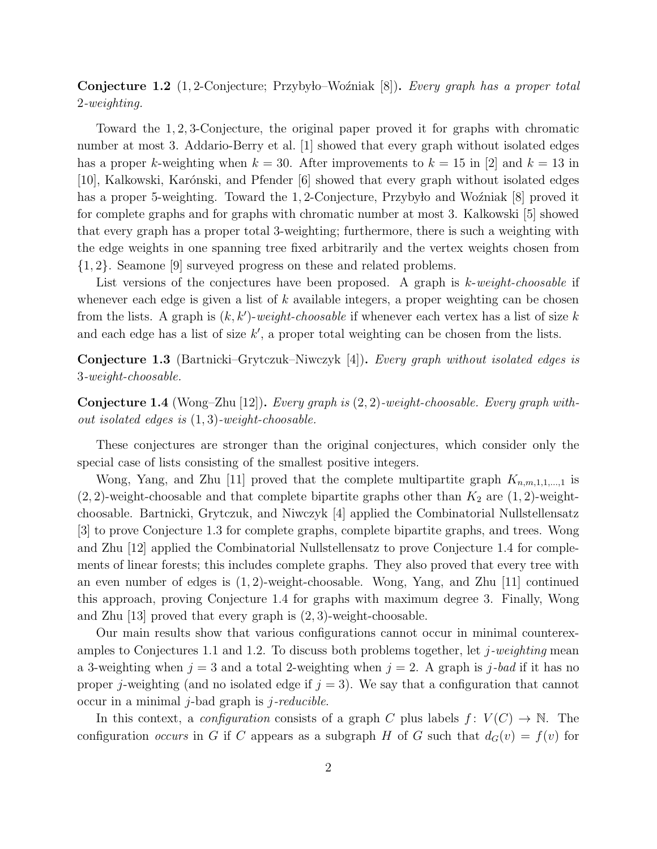Conjecture 1.2 (1, 2-Conjecture; Przyby lo–Wo´zniak [8]). *Every graph has a proper total* 2*-weighting.*

Toward the 1, 2, 3-Conjecture, the original paper proved it for graphs with chromatic number at most 3. Addario-Berry et al. [1] showed that every graph without isolated edges has a proper k-weighting when  $k = 30$ . After improvements to  $k = 15$  in [2] and  $k = 13$  in [10], Kalkowski, Karónski, and Pfender [6] showed that every graph without isolated edges has a proper 5-weighting. Toward the 1,2-Conjecture, Przybyło and Woźniak [8] proved it for complete graphs and for graphs with chromatic number at most 3. Kalkowski [5] showed that every graph has a proper total 3-weighting; furthermore, there is such a weighting with the edge weights in one spanning tree fixed arbitrarily and the vertex weights chosen from {1, 2}. Seamone [9] surveyed progress on these and related problems.

List versions of the conjectures have been proposed. A graph is k-*weight-choosable* if whenever each edge is given a list of  $k$  available integers, a proper weighting can be chosen from the lists. A graph is  $(k, k')$ -weight-choosable if whenever each vertex has a list of size k and each edge has a list of size  $k'$ , a proper total weighting can be chosen from the lists.

Conjecture 1.3 (Bartnicki–Grytczuk–Niwczyk [4]). *Every graph without isolated edges is* 3*-weight-choosable.*

Conjecture 1.4 (Wong–Zhu [12]). *Every graph is* (2, 2)*-weight-choosable. Every graph without isolated edges is* (1, 3)*-weight-choosable.*

These conjectures are stronger than the original conjectures, which consider only the special case of lists consisting of the smallest positive integers.

Wong, Yang, and Zhu [11] proved that the complete multipartite graph  $K_{n,m,1,1,\dots,1}$  is  $(2, 2)$ -weight-choosable and that complete bipartite graphs other than  $K_2$  are  $(1, 2)$ -weightchoosable. Bartnicki, Grytczuk, and Niwczyk [4] applied the Combinatorial Nullstellensatz [3] to prove Conjecture 1.3 for complete graphs, complete bipartite graphs, and trees. Wong and Zhu [12] applied the Combinatorial Nullstellensatz to prove Conjecture 1.4 for complements of linear forests; this includes complete graphs. They also proved that every tree with an even number of edges is (1, 2)-weight-choosable. Wong, Yang, and Zhu [11] continued this approach, proving Conjecture 1.4 for graphs with maximum degree 3. Finally, Wong and Zhu [13] proved that every graph is (2, 3)-weight-choosable.

Our main results show that various configurations cannot occur in minimal counterexamples to Conjectures 1.1 and 1.2. To discuss both problems together, let j*-weighting* mean a 3-weighting when  $j = 3$  and a total 2-weighting when  $j = 2$ . A graph is j-bad if it has no proper *j*-weighting (and no isolated edge if  $j = 3$ ). We say that a configuration that cannot occur in a minimal j-bad graph is j*-reducible*.

In this context, a *configuration* consists of a graph C plus labels  $f: V(C) \to \mathbb{N}$ . The configuration *occurs* in G if C appears as a subgraph H of G such that  $d_G(v) = f(v)$  for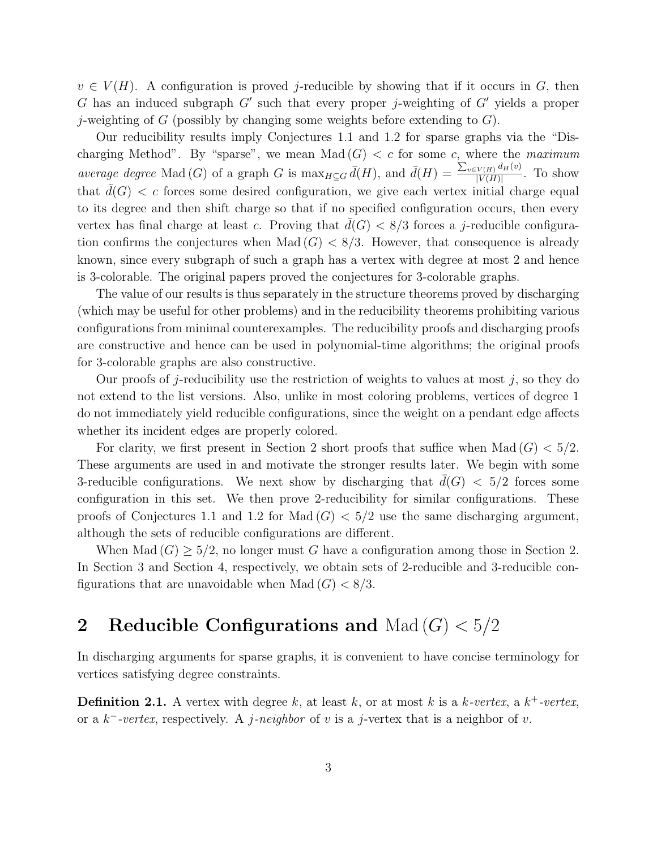$v \in V(H)$ . A configuration is proved j-reducible by showing that if it occurs in G, then  $G$  has an induced subgraph  $G'$  such that every proper j-weighting of  $G'$  yields a proper *j*-weighting of G (possibly by changing some weights before extending to  $G$ ).

Our reducibility results imply Conjectures 1.1 and 1.2 for sparse graphs via the "Discharging Method". By "sparse", we mean Mad  $(G) < c$  for some c, where the *maximum average degree* Mad (G) of a graph G is  $\max_{H \subseteq G} \bar{d}(H)$ , and  $\bar{d}(H) = \frac{\sum_{v \in V(H)} d_H(v)}{|V(H)|}$  $\frac{V(H)^{u}H(v)}{|V(H)|}$ . To show that  $d(G) < c$  forces some desired configuration, we give each vertex initial charge equal to its degree and then shift charge so that if no specified configuration occurs, then every vertex has final charge at least c. Proving that  $d(G) < 8/3$  forces a j-reducible configuration confirms the conjectures when Mad  $(G) < 8/3$ . However, that consequence is already known, since every subgraph of such a graph has a vertex with degree at most 2 and hence is 3-colorable. The original papers proved the conjectures for 3-colorable graphs.

The value of our results is thus separately in the structure theorems proved by discharging (which may be useful for other problems) and in the reducibility theorems prohibiting various configurations from minimal counterexamples. The reducibility proofs and discharging proofs are constructive and hence can be used in polynomial-time algorithms; the original proofs for 3-colorable graphs are also constructive.

Our proofs of j-reducibility use the restriction of weights to values at most j, so they do not extend to the list versions. Also, unlike in most coloring problems, vertices of degree 1 do not immediately yield reducible configurations, since the weight on a pendant edge affects whether its incident edges are properly colored.

For clarity, we first present in Section 2 short proofs that suffice when  $\text{Mad}(G) < 5/2$ . These arguments are used in and motivate the stronger results later. We begin with some 3-reducible configurations. We next show by discharging that  $d(G) < 5/2$  forces some configuration in this set. We then prove 2-reducibility for similar configurations. These proofs of Conjectures 1.1 and 1.2 for Mad  $(G) < 5/2$  use the same discharging argument, although the sets of reducible configurations are different.

When Mad  $(G) > 5/2$ , no longer must G have a configuration among those in Section 2. In Section 3 and Section 4, respectively, we obtain sets of 2-reducible and 3-reducible configurations that are unavoidable when Mad  $(G) < 8/3$ .

# 2 Reducible Configurations and  $\text{Mad}(G) < 5/2$

In discharging arguments for sparse graphs, it is convenient to have concise terminology for vertices satisfying degree constraints.

**Definition 2.1.** A vertex with degree k, at least k, or at most k is a k-vertex, a  $k^+$ -vertex, or a k <sup>−</sup>*-vertex*, respectively. A j*-neighbor* of v is a j-vertex that is a neighbor of v.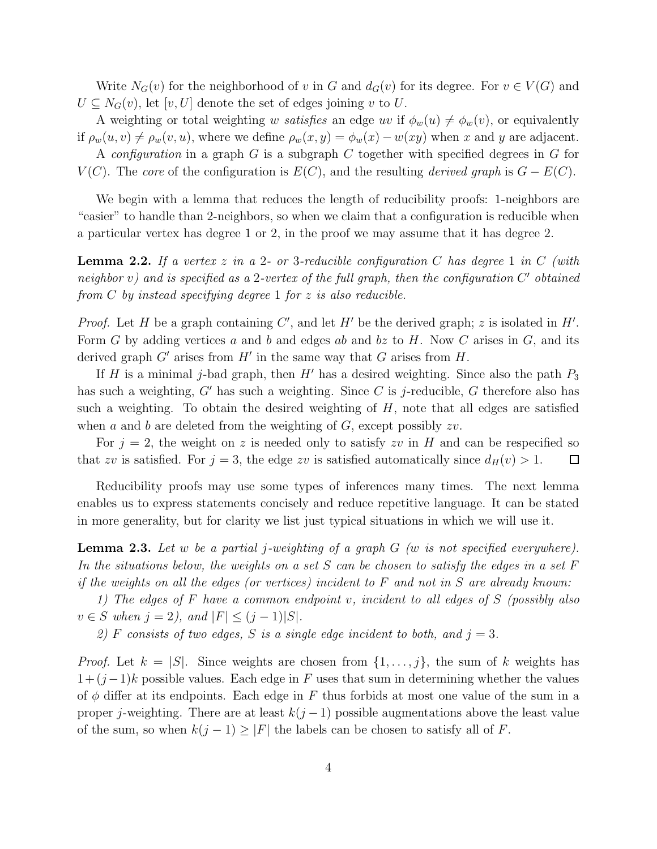Write  $N_G(v)$  for the neighborhood of v in G and  $d_G(v)$  for its degree. For  $v \in V(G)$  and  $U \subseteq N_G(v)$ , let  $[v, U]$  denote the set of edges joining v to U.

A weighting or total weighting w *satisfies* an edge uv if  $\phi_w(u) \neq \phi_w(v)$ , or equivalently if  $\rho_w(u, v) \neq \rho_w(v, u)$ , where we define  $\rho_w(x, y) = \phi_w(x) - w(xy)$  when x and y are adjacent. A *configuration* in a graph G is a subgraph C together with specified degrees in G for  $V(C)$ . The *core* of the configuration is  $E(C)$ , and the resulting *derived graph* is  $G - E(C)$ .

We begin with a lemma that reduces the length of reducibility proofs: 1-neighbors are "easier" to handle than 2-neighbors, so when we claim that a configuration is reducible when a particular vertex has degree 1 or 2, in the proof we may assume that it has degree 2.

Lemma 2.2. *If a vertex* z *in a* 2*- or* 3*-reducible configuration* C *has degree* 1 *in* C *(with neighbor* v*) and is specified as a* 2*-vertex of the full graph, then the configuration* C ′ *obtained from* C *by instead specifying degree* 1 *for* z *is also reducible.*

*Proof.* Let H be a graph containing  $C'$ , and let H' be the derived graph; z is isolated in H'. Form G by adding vertices a and b and edges ab and bz to  $H$ . Now C arises in  $G$ , and its derived graph  $G'$  arises from  $H'$  in the same way that  $G$  arises from  $H$ .

If H is a minimal j-bad graph, then H' has a desired weighting. Since also the path  $P_3$ has such a weighting,  $G'$  has such a weighting. Since C is j-reducible, G therefore also has such a weighting. To obtain the desired weighting of  $H$ , note that all edges are satisfied when a and b are deleted from the weighting of  $G$ , except possibly  $zv$ .

For  $j = 2$ , the weight on z is needed only to satisfy zv in H and can be respecified so that zv is satisfied. For  $j = 3$ , the edge zv is satisfied automatically since  $d_H(v) > 1$ .  $\Box$ 

Reducibility proofs may use some types of inferences many times. The next lemma enables us to express statements concisely and reduce repetitive language. It can be stated in more generality, but for clarity we list just typical situations in which we will use it.

Lemma 2.3. *Let* w *be a partial* j*-weighting of a graph* G *(*w *is not specified everywhere). In the situations below, the weights on a set* S *can be chosen to satisfy the edges in a set* F *if the weights on all the edges (or vertices) incident to* F *and not in* S *are already known:*

*1) The edges of* F *have a common endpoint* v*, incident to all edges of* S *(possibly also*  $v \in S$  when  $j = 2$ , and  $|F|$  ≤  $(j − 1)|S|$ .

2) F consists of two edges, S is a single edge incident to both, and  $j = 3$ .

*Proof.* Let  $k = |S|$ . Since weights are chosen from  $\{1, \ldots, j\}$ , the sum of k weights has  $1+(j-1)k$  possible values. Each edge in F uses that sum in determining whether the values of  $\phi$  differ at its endpoints. Each edge in F thus forbids at most one value of the sum in a proper j-weighting. There are at least  $k(j-1)$  possible augmentations above the least value of the sum, so when  $k(j - 1) \geq |F|$  the labels can be chosen to satisfy all of F.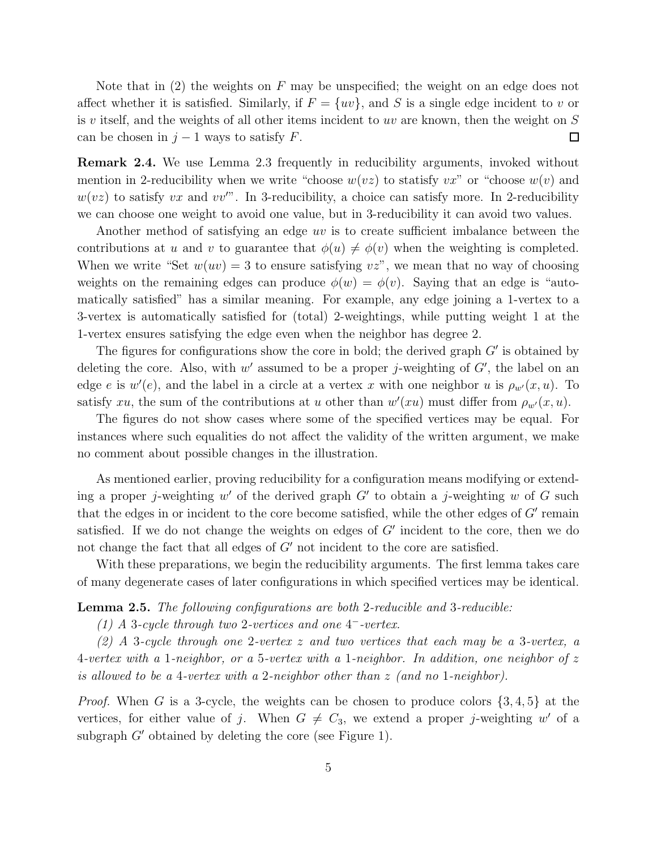Note that in  $(2)$  the weights on F may be unspecified; the weight on an edge does not affect whether it is satisfied. Similarly, if  $F = \{uv\}$ , and S is a single edge incident to v or is v itself, and the weights of all other items incident to uv are known, then the weight on  $S$ can be chosen in  $j-1$  ways to satisfy F.  $\Box$ 

Remark 2.4. We use Lemma 2.3 frequently in reducibility arguments, invoked without mention in 2-reducibility when we write "choose  $w(vz)$  to statisfy  $vx$ " or "choose  $w(v)$  and  $w(vz)$  to satisfy vx and vv<sup>'"</sup>. In 3-reducibility, a choice can satisfy more. In 2-reducibility we can choose one weight to avoid one value, but in 3-reducibility it can avoid two values.

Another method of satisfying an edge  $uv$  is to create sufficient imbalance between the contributions at u and v to guarantee that  $\phi(u) \neq \phi(v)$  when the weighting is completed. When we write "Set  $w(uv) = 3$  to ensure satisfying  $vz$ ", we mean that no way of choosing weights on the remaining edges can produce  $\phi(w) = \phi(v)$ . Saying that an edge is "automatically satisfied" has a similar meaning. For example, any edge joining a 1-vertex to a 3-vertex is automatically satisfied for (total) 2-weightings, while putting weight 1 at the 1-vertex ensures satisfying the edge even when the neighbor has degree 2.

The figures for configurations show the core in bold; the derived graph  $G'$  is obtained by deleting the core. Also, with  $w'$  assumed to be a proper j-weighting of  $G'$ , the label on an edge e is  $w'(e)$ , and the label in a circle at a vertex x with one neighbor u is  $\rho_{w'}(x, u)$ . To satisfy xu, the sum of the contributions at u other than  $w'(xu)$  must differ from  $\rho_{w'}(x, u)$ .

The figures do not show cases where some of the specified vertices may be equal. For instances where such equalities do not affect the validity of the written argument, we make no comment about possible changes in the illustration.

As mentioned earlier, proving reducibility for a configuration means modifying or extending a proper *j*-weighting  $w'$  of the derived graph  $G'$  to obtain a *j*-weighting  $w$  of  $G$  such that the edges in or incident to the core become satisfied, while the other edges of  $G'$  remain satisfied. If we do not change the weights on edges of  $G'$  incident to the core, then we do not change the fact that all edges of  $G'$  not incident to the core are satisfied.

With these preparations, we begin the reducibility arguments. The first lemma takes care of many degenerate cases of later configurations in which specified vertices may be identical.

Lemma 2.5. *The following configurations are both* 2*-reducible and* 3*-reducible:*

*(1) A* 3*-cycle through two* 2*-vertices and one* 4 <sup>−</sup>*-vertex.*

*(2) A* 3*-cycle through one* 2*-vertex* z *and two vertices that each may be a* 3*-vertex, a* 4*-vertex with a* 1*-neighbor, or a* 5*-vertex with a* 1*-neighbor. In addition, one neighbor of* z *is allowed to be a* 4*-vertex with a* 2*-neighbor other than* z *(and no* 1*-neighbor).*

*Proof.* When G is a 3-cycle, the weights can be chosen to produce colors  $\{3, 4, 5\}$  at the vertices, for either value of j. When  $G \neq C_3$ , we extend a proper j-weighting w' of a subgraph G' obtained by deleting the core (see Figure 1).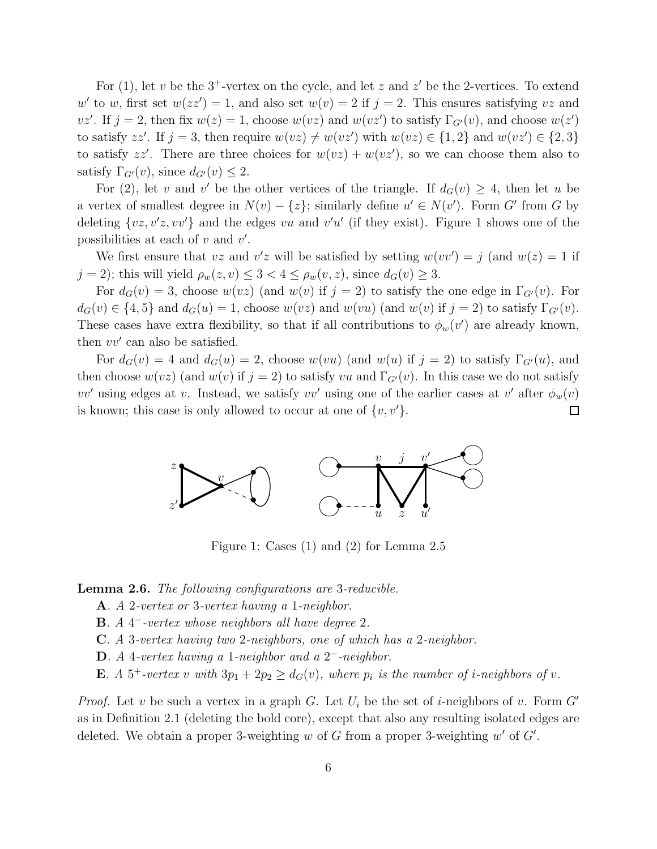For  $(1)$ , let v be the 3<sup>+</sup>-vertex on the cycle, and let z and z' be the 2-vertices. To extend w' to w, first set  $w(zz') = 1$ , and also set  $w(v) = 2$  if  $j = 2$ . This ensures satisfying vz and vz'. If  $j = 2$ , then fix  $w(z) = 1$ , choose  $w(vz)$  and  $w(vz')$  to satisfy  $\Gamma_{G'}(v)$ , and choose  $w(z')$ to satisfy zz'. If  $j = 3$ , then require  $w(vz) \neq w(vz')$  with  $w(vz) \in \{1,2\}$  and  $w(vz') \in \{2,3\}$ to satisfy zz'. There are three choices for  $w(vz) + w(vz')$ , so we can choose them also to satisfy  $\Gamma_{G'}(v)$ , since  $d_{G'}(v) \leq 2$ .

For (2), let v and v' be the other vertices of the triangle. If  $d_G(v) \geq 4$ , then let u be a vertex of smallest degree in  $N(v) - \{z\}$ ; similarly define  $u' \in N(v')$ . Form G' from G by deleting  $\{v, v', v' \}$  and the edges vu and  $v'u'$  (if they exist). Figure 1 shows one of the possibilities at each of  $v$  and  $v'$ .

We first ensure that vz and v'z will be satisfied by setting  $w(vv') = j$  (and  $w(z) = 1$  if  $j = 2$ ); this will yield  $\rho_w(z, v) \leq 3 < 4 \leq \rho_w(v, z)$ , since  $d_G(v) \geq 3$ .

For  $d_G(v) = 3$ , choose  $w(vz)$  (and  $w(v)$  if  $j = 2$ ) to satisfy the one edge in  $\Gamma_{G'}(v)$ . For  $d_G(v) \in \{4, 5\}$  and  $d_G(u) = 1$ , choose  $w(vz)$  and  $w(vu)$  (and  $w(v)$  if  $j = 2$ ) to satisfy  $\Gamma_{G'}(v)$ . These cases have extra flexibility, so that if all contributions to  $\phi_w(v')$  are already known, then  $vv'$  can also be satisfied.

For  $d_G(v) = 4$  and  $d_G(u) = 2$ , choose  $w(vu)$  (and  $w(u)$  if  $j = 2$ ) to satisfy  $\Gamma_{G'}(u)$ , and then choose  $w(vz)$  (and  $w(v)$  if  $j = 2$ ) to satisfy vu and  $\Gamma_{G'}(v)$ . In this case we do not satisfy  $vv'$  using edges at v. Instead, we satisfy  $vv'$  using one of the earlier cases at v' after  $\phi_w(v)$ is known; this case is only allowed to occur at one of  $\{v, v'\}.$  $\Box$ 



Figure 1: Cases (1) and (2) for Lemma 2.5

Lemma 2.6. *The following configurations are* 3*-reducible.*

- A*. A* 2*-vertex or* 3*-vertex having a* 1*-neighbor.*
- B*. A* 4 <sup>−</sup>*-vertex whose neighbors all have degree* 2*.*
- C*. A* 3*-vertex having two* 2*-neighbors, one of which has a* 2*-neighbor.*
- D*. A* 4*-vertex having a* 1*-neighbor and a* 2 <sup>−</sup>*-neighbor.*
- **E***.* A 5<sup>+</sup>-vertex v with  $3p_1 + 2p_2 \geq d_G(v)$ , where  $p_i$  is the number of *i*-neighbors of v.

*Proof.* Let v be such a vertex in a graph G. Let  $U_i$  be the set of *i*-neighbors of v. Form  $G'$ as in Definition 2.1 (deleting the bold core), except that also any resulting isolated edges are deleted. We obtain a proper 3-weighting  $w$  of  $G$  from a proper 3-weighting  $w'$  of  $G'$ .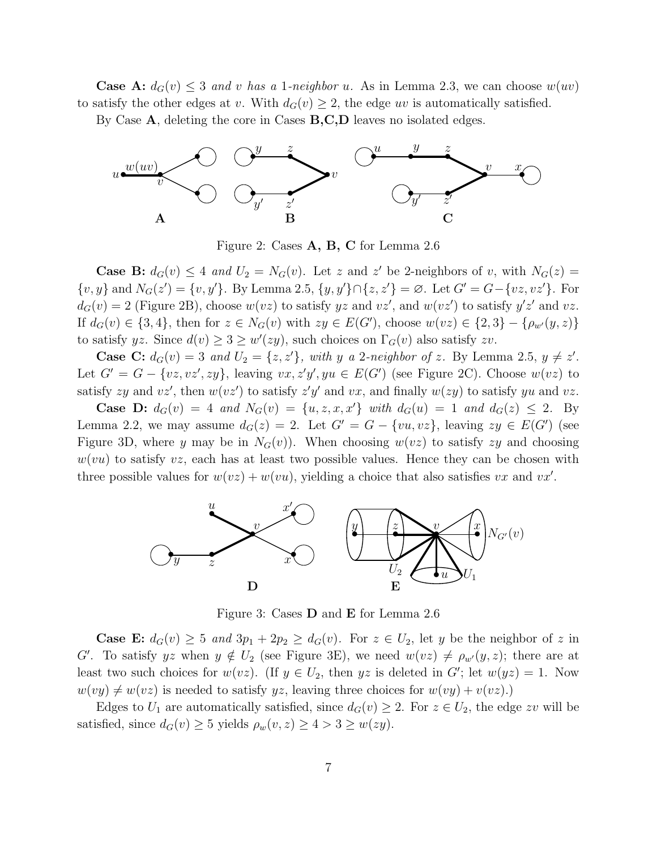**Case A:**  $d_G(v) \leq 3$  *and* v *has a* 1*-neighbor* u. As in Lemma 2.3, we can choose  $w(uv)$ to satisfy the other edges at v. With  $d_G(v) \geq 2$ , the edge uv is automatically satisfied.

By Case  $\mathbf{A}$ , deleting the core in Cases  $\mathbf{B}$ ,  $\mathbf{C}$ ,  $\mathbf{D}$  leaves no isolated edges.



Figure 2: Cases A, B, C for Lemma 2.6

**Case B:**  $d_G(v) \leq 4$  and  $U_2 = N_G(v)$ . Let z and z' be 2-neighbors of v, with  $N_G(z)$  $\{v, y\}$  and  $N_G(z') = \{v, y'\}$ . By Lemma 2.5,  $\{y, y'\} \cap \{z, z'\} = \emptyset$ . Let  $G' = G - \{vz, vz'\}$ . For  $d_G(v) = 2$  (Figure 2B), choose  $w(vz)$  to satisfy yz and  $vz'$ , and  $w(vz')$  to satisfy  $y'z'$  and  $vz$ . If  $d_G(v) \in \{3, 4\}$ , then for  $z \in N_G(v)$  with  $zy \in E(G')$ , choose  $w(vz) \in \{2, 3\} - \{\rho_{w'}(y, z)\}$ to satisfy yz. Since  $d(v) \geq 3 \geq w'(zy)$ , such choices on  $\Gamma_G(v)$  also satisfy zv.

**Case C:**  $d_G(v) = 3$  and  $U_2 = \{z, z'\}$ , with y a 2-neighbor of z. By Lemma 2.5,  $y \neq z'$ . Let  $G' = G - \{vz, vz', zy\}$ , leaving  $vx, z'y', yu \in E(G')$  (see Figure 2C). Choose  $w(vz)$  to satisfy zy and vz', then  $w(vz')$  to satisfy  $z'y'$  and vx, and finally  $w(zy)$  to satisfy yu and vz.

**Case D:**  $d_G(v) = 4$  and  $N_G(v) = \{u, z, x, x'\}$  with  $d_G(u) = 1$  and  $d_G(z) \leq 2$ . By Lemma 2.2, we may assume  $d_G(z) = 2$ . Let  $G' = G - \{vu, vz\}$ , leaving  $zy \in E(G')$  (see Figure 3D, where y may be in  $N_G(v)$ . When choosing  $w(vz)$  to satisfy zy and choosing  $w(vu)$  to satisfy vz, each has at least two possible values. Hence they can be chosen with three possible values for  $w(vz) + w(vu)$ , yielding a choice that also satisfies vx and vx'.



Figure 3: Cases D and E for Lemma 2.6

**Case E:**  $d_G(v) \geq 5$  and  $3p_1 + 2p_2 \geq d_G(v)$ . For  $z \in U_2$ , let y be the neighbor of z in G'. To satisfy yz when  $y \notin U_2$  (see Figure 3E), we need  $w(vz) \neq \rho_{w'}(y, z)$ ; there are at least two such choices for  $w(vz)$ . (If  $y \in U_2$ , then yz is deleted in G'; let  $w(yz) = 1$ . Now  $w(vy) \neq w(vz)$  is needed to satisfy yz, leaving three choices for  $w(vy) + v(vz)$ .

Edges to  $U_1$  are automatically satisfied, since  $d_G(v) \geq 2$ . For  $z \in U_2$ , the edge zv will be satisfied, since  $d_G(v) \geq 5$  yields  $\rho_w(v, z) \geq 4 > 3 \geq w(zy)$ .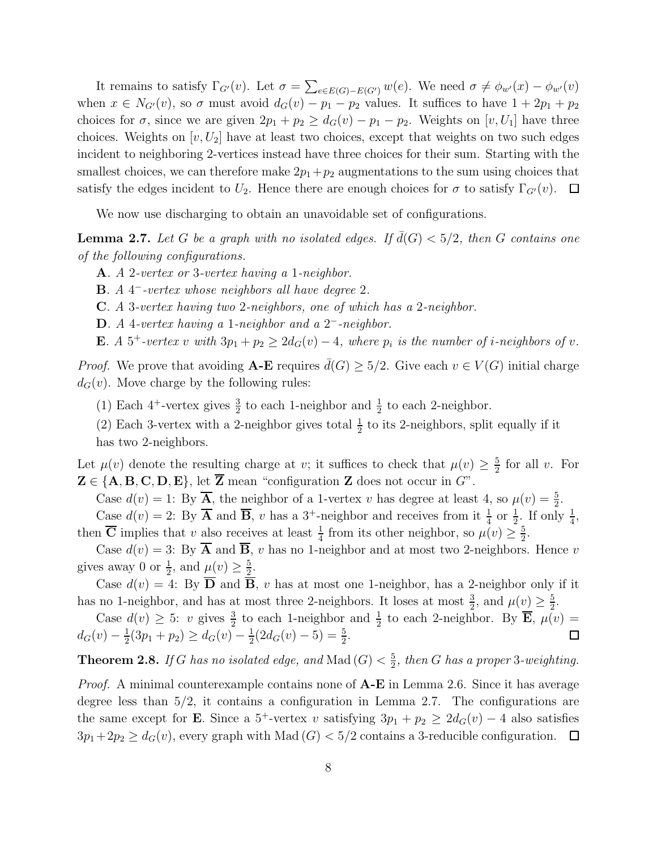It remains to satisfy  $\Gamma_{G'}(v)$ . Let  $\sigma = \sum_{e \in E(G) - E(G')} w(e)$ . We need  $\sigma \neq \phi_{w'}(x) - \phi_{w'}(v)$ when  $x \in N_{G'}(v)$ , so  $\sigma$  must avoid  $d_G(v) - p_1 - p_2$  values. It suffices to have  $1 + 2p_1 + p_2$ choices for  $\sigma$ , since we are given  $2p_1 + p_2 \geq d_G(v) - p_1 - p_2$ . Weights on [v, U<sub>1</sub>] have three choices. Weights on  $[v, U_2]$  have at least two choices, except that weights on two such edges incident to neighboring 2-vertices instead have three choices for their sum. Starting with the smallest choices, we can therefore make  $2p_1+p_2$  augmentations to the sum using choices that satisfy the edges incident to  $U_2$ . Hence there are enough choices for  $\sigma$  to satisfy  $\Gamma_{G'}(v)$ .  $\Box$ 

We now use discharging to obtain an unavoidable set of configurations.

**Lemma 2.7.** Let G be a graph with no isolated edges. If  $d(G) < 5/2$ , then G contains one *of the following configurations.*

- A*. A* 2*-vertex or* 3*-vertex having a* 1*-neighbor.*
- B*. A* 4 <sup>−</sup>*-vertex whose neighbors all have degree* 2*.*
- C*. A* 3*-vertex having two* 2*-neighbors, one of which has a* 2*-neighbor.*
- D*. A* 4*-vertex having a* 1*-neighbor and a* 2 <sup>−</sup>*-neighbor.*
- **E**. A 5<sup>+</sup>-vertex v with  $3p_1 + p_2 \geq 2d_G(v) 4$ , where  $p_i$  is the number of *i*-neighbors of v.

*Proof.* We prove that avoiding  $\mathbf{A}\text{-}\mathbf{E}$  requires  $\bar{d}(G) \geq 5/2$ . Give each  $v \in V(G)$  initial charge  $d_G(v)$ . Move charge by the following rules:

- (1) Each 4<sup>+</sup>-vertex gives  $\frac{3}{2}$  to each 1-neighbor and  $\frac{1}{2}$  to each 2-neighbor.
- (2) Each 3-vertex with a 2-neighbor gives total  $\frac{1}{2}$  to its 2-neighbors, split equally if it has two 2-neighbors.

Let  $\mu(v)$  denote the resulting charge at v; it suffices to check that  $\mu(v) \geq \frac{5}{2}$  $\frac{5}{2}$  for all v. For  $\mathbf{Z} \in \{\mathbf{A}, \mathbf{B}, \mathbf{C}, \mathbf{D}, \mathbf{E}\},$  let  $\overline{\mathbf{Z}}$  mean "configuration  $\mathbf{Z}$  does not occur in  $G$ ".

Case  $d(v) = 1$ : By  $\overline{A}$ , the neighbor of a 1-vertex v has degree at least 4, so  $\mu(v) = \frac{5}{2}$ . Case  $d(v) = 2$ : By  $\overline{A}$  and  $\overline{B}$ , v has a 3<sup>+</sup>-neighbor and receives from it  $\frac{1}{4}$  or  $\frac{1}{2}$ . If only  $\frac{1}{4}$ ,

then  $\overline{\mathbf{C}}$  implies that v also receives at least  $\frac{1}{4}$  from its other neighbor, so  $\mu(v) \geq \frac{5}{2}$  $\frac{5}{2}$ . Case  $d(v) = 3$ : By  $\overline{A}$  and  $\overline{B}$ , v has no 1-neighbor and at most two 2-neighbors. Hence v

gives away 0 or  $\frac{1}{2}$ , and  $\mu(v) \geq \frac{5}{2}$  $\frac{5}{2}$ .

Case  $d(v) = 4$ : By  $\overline{D}$  and  $\overline{B}$ , v has at most one 1-neighbor, has a 2-neighbor only if it has no 1-neighbor, and has at most three 2-neighbors. It loses at most  $\frac{3}{2}$ , and  $\mu(v) \ge \frac{5}{2}$  $\frac{5}{2}$ .

Case  $d(v) \geq 5$ : v gives  $\frac{3}{2}$  to each 1-neighbor and  $\frac{1}{2}$  to each 2-neighbor. By  $\overline{E}$ ,  $\mu(v)$  =  $d_G(v)-\frac{1}{2}$  $\frac{1}{2}(3p_1+p_2)\geq d_G(v)-\frac{1}{2}$  $\frac{1}{2}(2d_G(v)-5)=\frac{5}{2}.$  $\Box$ 

**Theorem 2.8.** *If* G has no isolated edge, and Mad  $(G) < \frac{5}{2}$  $\frac{5}{2}$ , then *G* has a proper 3-weighting.

*Proof.* A minimal counterexample contains none of  $\mathbf{A}-\mathbf{E}$  in Lemma 2.6. Since it has average degree less than 5/2, it contains a configuration in Lemma 2.7. The configurations are the same except for **E**. Since a 5<sup>+</sup>-vertex v satisfying  $3p_1 + p_2 \geq 2d_G(v) - 4$  also satisfies  $3p_1+2p_2 \geq d_G(v)$ , every graph with Mad  $(G) < 5/2$  contains a 3-reducible configuration.  $\Box$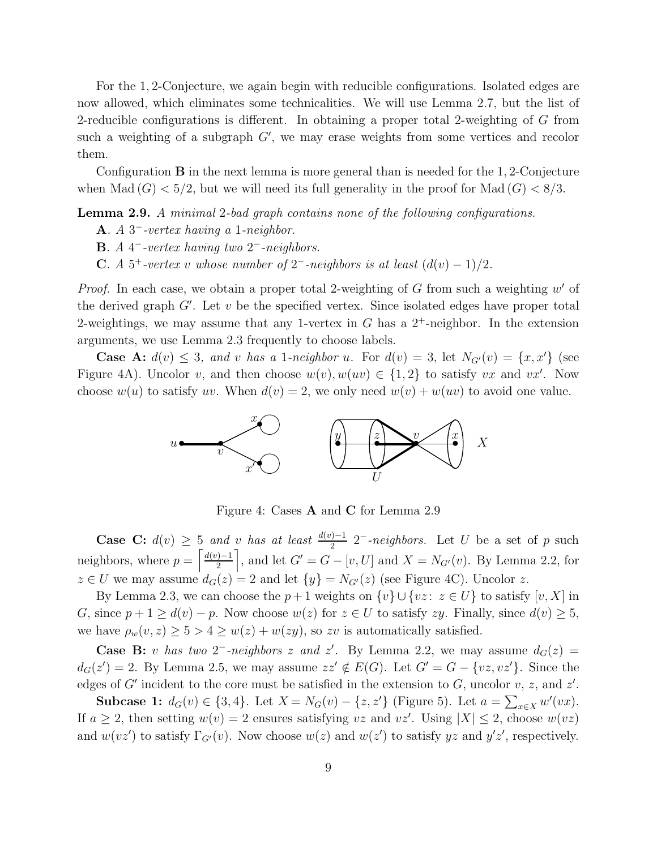For the 1, 2-Conjecture, we again begin with reducible configurations. Isolated edges are now allowed, which eliminates some technicalities. We will use Lemma 2.7, but the list of 2-reducible configurations is different. In obtaining a proper total 2-weighting of G from such a weighting of a subgraph  $G'$ , we may erase weights from some vertices and recolor them.

Configuration B in the next lemma is more general than is needed for the 1, 2-Conjecture when Mad  $(G) < 5/2$ , but we will need its full generality in the proof for Mad  $(G) < 8/3$ .

Lemma 2.9. *A minimal* 2*-bad graph contains none of the following configurations.*

A*. A* 3 <sup>−</sup>*-vertex having a* 1*-neighbor.*

B*. A* 4 <sup>−</sup>*-vertex having two* 2 <sup>−</sup>*-neighbors.*

C*.* A 5<sup>+</sup>-vertex v whose number of  $2^-$ -neighbors is at least  $(d(v) - 1)/2$ *.* 

*Proof.* In each case, we obtain a proper total 2-weighting of  $G$  from such a weighting  $w'$  of the derived graph  $G'$ . Let  $v$  be the specified vertex. Since isolated edges have proper total 2-weightings, we may assume that any 1-vertex in  $G$  has a  $2^+$ -neighbor. In the extension arguments, we use Lemma 2.3 frequently to choose labels.

**Case A:**  $d(v) \leq 3$ , and v has a 1-neighbor u. For  $d(v) = 3$ , let  $N_{G'}(v) = \{x, x'\}$  (see Figure 4A). Uncolor v, and then choose  $w(v), w(uv) \in \{1,2\}$  to satisfy vx and vx'. Now choose  $w(u)$  to satisfy uv. When  $d(v) = 2$ , we only need  $w(v) + w(uv)$  to avoid one value.



Figure 4: Cases A and C for Lemma 2.9

**Case C:**  $d(v) \geq 5$  *and v has at least*  $\frac{d(v)-1}{2}$  2<sup>−</sup>*-neighbors.* Let *U* be a set of *p* such neighbors, where  $p = \left\lceil \frac{d(v)-1}{2} \right\rceil$  $\left[\frac{p}{2}\right]$ , and let  $G' = G - [v, U]$  and  $X = N_{G'}(v)$ . By Lemma 2.2, for  $z \in U$  we may assume  $d_G(z) = 2$  and let  $\{y\} = N_{G'}(z)$  (see Figure 4C). Uncolor z.

By Lemma 2.3, we can choose the  $p+1$  weights on  $\{v\} \cup \{vz : z \in U\}$  to satisfy  $[v, X]$  in G, since  $p + 1 \ge d(v) - p$ . Now choose  $w(z)$  for  $z \in U$  to satisfy zy. Finally, since  $d(v) \ge 5$ , we have  $\rho_w(v, z) \geq 5 > 4 \geq w(z) + w(zy)$ , so zv is automatically satisfied.

**Case B:** v has two 2<sup>-</sup>-neighbors z and z'. By Lemma 2.2, we may assume  $d_G(z)$  =  $d_G(z') = 2$ . By Lemma 2.5, we may assume  $zz' \notin E(G)$ . Let  $G' = G - \{vz, vz'\}$ . Since the edges of  $G'$  incident to the core must be satisfied in the extension to  $G$ , uncolor  $v, z$ , and  $z'$ .

Subcase 1:  $d_G(v) \in \{3, 4\}$ . Let  $X = N_G(v) - \{z, z'\}$  (Figure 5). Let  $a = \sum_{x \in X} w'(vx)$ . If  $a \geq 2$ , then setting  $w(v) = 2$  ensures satisfying vz and vz'. Using  $|X| \leq 2$ , choose  $w(vz)$ and  $w(vz')$  to satisfy  $\Gamma_{G'}(v)$ . Now choose  $w(z)$  and  $w(z')$  to satisfy yz and  $y'z'$ , respectively.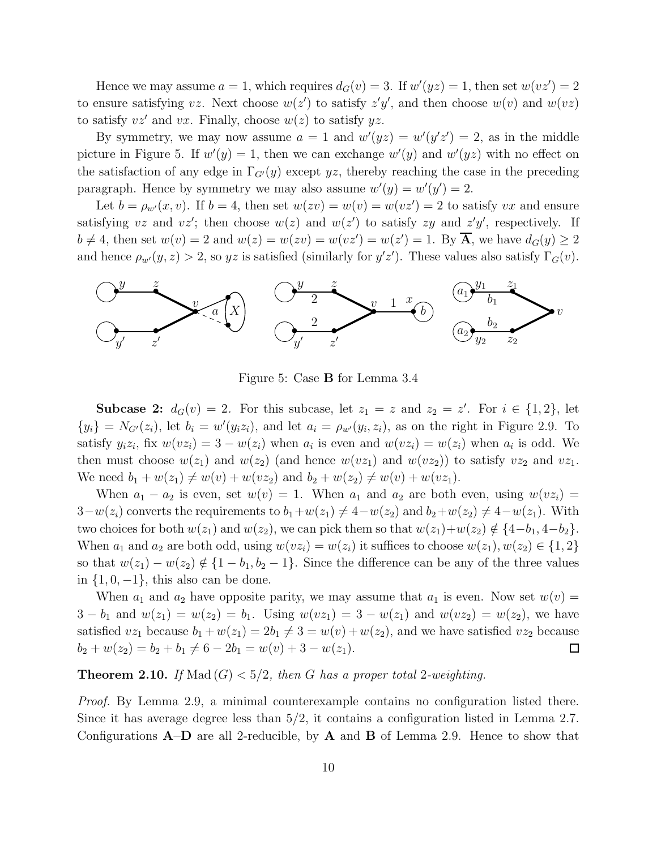Hence we may assume  $a = 1$ , which requires  $d_G(v) = 3$ . If  $w'(yz) = 1$ , then set  $w(vz') = 2$ to ensure satisfying vz. Next choose  $w(z')$  to satisfy  $z'y'$ , and then choose  $w(v)$  and  $w(vz)$ to satisfy  $vz'$  and  $vx$ . Finally, choose  $w(z)$  to satisfy yz.

By symmetry, we may now assume  $a = 1$  and  $w'(yz) = w'(y'z') = 2$ , as in the middle picture in Figure 5. If  $w'(y) = 1$ , then we can exchange  $w'(y)$  and  $w'(yz)$  with no effect on the satisfaction of any edge in  $\Gamma_{G'}(y)$  except yz, thereby reaching the case in the preceding paragraph. Hence by symmetry we may also assume  $w'(y) = w'(y') = 2$ .

Let  $b = \rho_{w}(x, v)$ . If  $b = 4$ , then set  $w(zv) = w(v) = w(vz') = 2$  to satisfy vx and ensure satisfying vz and vz'; then choose  $w(z)$  and  $w(z')$  to satisfy zy and  $z'y'$ , respectively. If  $b \neq 4$ , then set  $w(v) = 2$  and  $w(z) = w(zv) = w(vz') = w(z') = 1$ . By  $\overline{\mathbf{A}}$ , we have  $d_G(y) \geq 2$ and hence  $\rho_{w'}(y, z) > 2$ , so yz is satisfied (similarly for  $y'z'$ ). These values also satisfy  $\Gamma_G(v)$ .



Figure 5: Case B for Lemma 3.4

**Subcase 2:**  $d_G(v) = 2$ . For this subcase, let  $z_1 = z$  and  $z_2 = z'$ . For  $i \in \{1,2\}$ , let  ${y_i} = N_{G'}(z_i)$ , let  $b_i = w'(y_iz_i)$ , and let  $a_i = \rho_{w'}(y_i, z_i)$ , as on the right in Figure 2.9. To satisfy  $y_i z_i$ , fix  $w(vz_i) = 3 - w(z_i)$  when  $a_i$  is even and  $w(vz_i) = w(z_i)$  when  $a_i$  is odd. We then must choose  $w(z_1)$  and  $w(z_2)$  (and hence  $w(vz_1)$  and  $w(vz_2)$ ) to satisfy  $vz_2$  and  $vz_1$ . We need  $b_1 + w(z_1) \neq w(v) + w(vz_2)$  and  $b_2 + w(z_2) \neq w(v) + w(vz_1)$ .

When  $a_1 - a_2$  is even, set  $w(v) = 1$ . When  $a_1$  and  $a_2$  are both even, using  $w(vz_i) =$  $3-w(z_i)$  converts the requirements to  $b_1+w(z_1) \neq 4-w(z_2)$  and  $b_2+w(z_2) \neq 4-w(z_1)$ . With two choices for both  $w(z_1)$  and  $w(z_2)$ , we can pick them so that  $w(z_1)+w(z_2) \notin \{4-b_1, 4-b_2\}.$ When  $a_1$  and  $a_2$  are both odd, using  $w(vz_i) = w(z_i)$  it suffices to choose  $w(z_1), w(z_2) \in \{1, 2\}$ so that  $w(z_1) - w(z_2) \notin \{1 - b_1, b_2 - 1\}$ . Since the difference can be any of the three values in  $\{1, 0, -1\}$ , this also can be done.

When  $a_1$  and  $a_2$  have opposite parity, we may assume that  $a_1$  is even. Now set  $w(v) =$  $3 - b_1$  and  $w(z_1) = w(z_2) = b_1$ . Using  $w(vz_1) = 3 - w(z_1)$  and  $w(vz_2) = w(z_2)$ , we have satisfied  $vz_1$  because  $b_1 + w(z_1) = 2b_1 \neq 3 = w(v) + w(z_2)$ , and we have satisfied  $vz_2$  because  $b_2 + w(z_2) = b_2 + b_1 \neq 6 - 2b_1 = w(v) + 3 - w(z_1).$  $\Box$ 

#### **Theorem 2.10.** If  $\text{Mad}(G) < 5/2$ , then G has a proper total 2-weighting.

*Proof.* By Lemma 2.9, a minimal counterexample contains no configuration listed there. Since it has average degree less than 5/2, it contains a configuration listed in Lemma 2.7. Configurations  $A-D$  are all 2-reducible, by  $A$  and  $B$  of Lemma 2.9. Hence to show that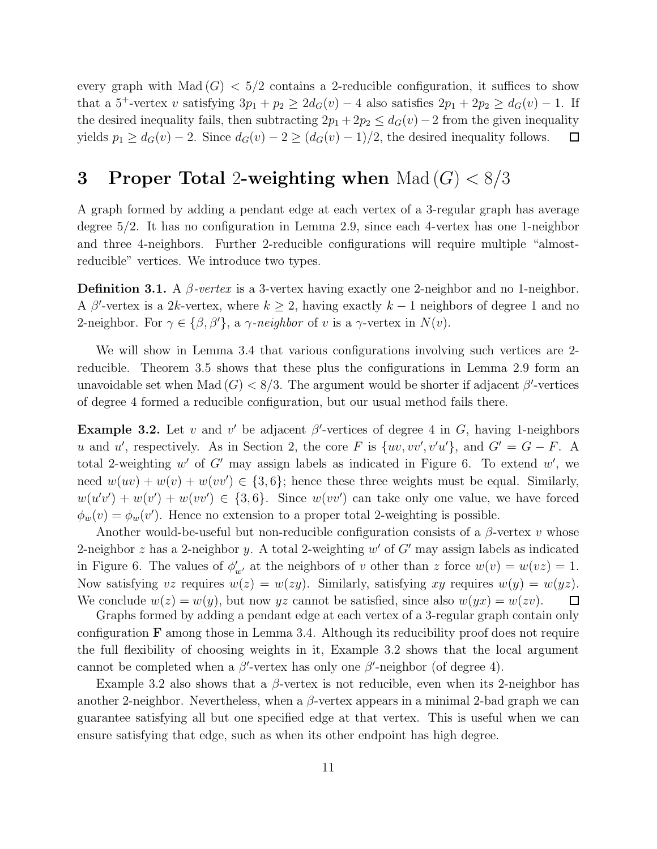every graph with Mad  $(G) < 5/2$  contains a 2-reducible configuration, it suffices to show that a 5<sup>+</sup>-vertex v satisfying  $3p_1 + p_2 \geq 2d_G(v) - 4$  also satisfies  $2p_1 + 2p_2 \geq d_G(v) - 1$ . If the desired inequality fails, then subtracting  $2p_1 + 2p_2 \leq d_G(v) - 2$  from the given inequality yields  $p_1 \geq d_G(v) - 2$ . Since  $d_G(v) - 2 \geq (d_G(v) - 1)/2$ , the desired inequality follows.  $\Box$ 

# 3 Proper Total 2-weighting when  $\text{Mad}(G) < 8/3$

A graph formed by adding a pendant edge at each vertex of a 3-regular graph has average degree 5/2. It has no configuration in Lemma 2.9, since each 4-vertex has one 1-neighbor and three 4-neighbors. Further 2-reducible configurations will require multiple "almostreducible" vertices. We introduce two types.

**Definition 3.1.** A *β*-vertex is a 3-vertex having exactly one 2-neighbor and no 1-neighbor. A  $\beta'$ -vertex is a 2k-vertex, where  $k \geq 2$ , having exactly  $k-1$  neighbors of degree 1 and no 2-neighbor. For  $\gamma \in \{\beta, \beta'\}$ , a  $\gamma$ -neighbor of v is a  $\gamma$ -vertex in  $N(v)$ .

We will show in Lemma 3.4 that various configurations involving such vertices are 2 reducible. Theorem 3.5 shows that these plus the configurations in Lemma 2.9 form an unavoidable set when Mad  $(G) < 8/3$ . The argument would be shorter if adjacent  $\beta'$ -vertices of degree 4 formed a reducible configuration, but our usual method fails there.

Example 3.2. Let v and v' be adjacent  $\beta'$ -vertices of degree 4 in G, having 1-neighbors u and u', respectively. As in Section 2, the core F is  $\{uv, vv', v'u'\}$ , and  $G' = G - F$ . A total 2-weighting  $w'$  of  $G'$  may assign labels as indicated in Figure 6. To extend  $w'$ , we need  $w(uv) + w(v) + w(vv') \in \{3, 6\}$ ; hence these three weights must be equal. Similarly,  $w(u'v') + w(v') + w(vv') \in \{3, 6\}.$  Since  $w(vv')$  can take only one value, we have forced  $\phi_w(v) = \phi_w(v')$ . Hence no extension to a proper total 2-weighting is possible.

Another would-be-useful but non-reducible configuration consists of a  $\beta$ -vertex v whose 2-neighbor  $z$  has a 2-neighbor  $y$ . A total 2-weighting  $w'$  of  $G'$  may assign labels as indicated in Figure 6. The values of  $\phi'_{w'}$  at the neighbors of v other than z force  $w(v) = w(vz) = 1$ . Now satisfying vz requires  $w(z) = w(zy)$ . Similarly, satisfying xy requires  $w(y) = w(yz)$ . We conclude  $w(z) = w(y)$ , but now yz cannot be satisfied, since also  $w(yx) = w(zv)$ .  $\Box$ 

Graphs formed by adding a pendant edge at each vertex of a 3-regular graph contain only configuration  $\bf{F}$  among those in Lemma 3.4. Although its reducibility proof does not require the full flexibility of choosing weights in it, Example 3.2 shows that the local argument cannot be completed when a  $\beta'$ -vertex has only one  $\beta'$ -neighbor (of degree 4).

Example 3.2 also shows that a  $\beta$ -vertex is not reducible, even when its 2-neighbor has another 2-neighbor. Nevertheless, when a  $\beta$ -vertex appears in a minimal 2-bad graph we can guarantee satisfying all but one specified edge at that vertex. This is useful when we can ensure satisfying that edge, such as when its other endpoint has high degree.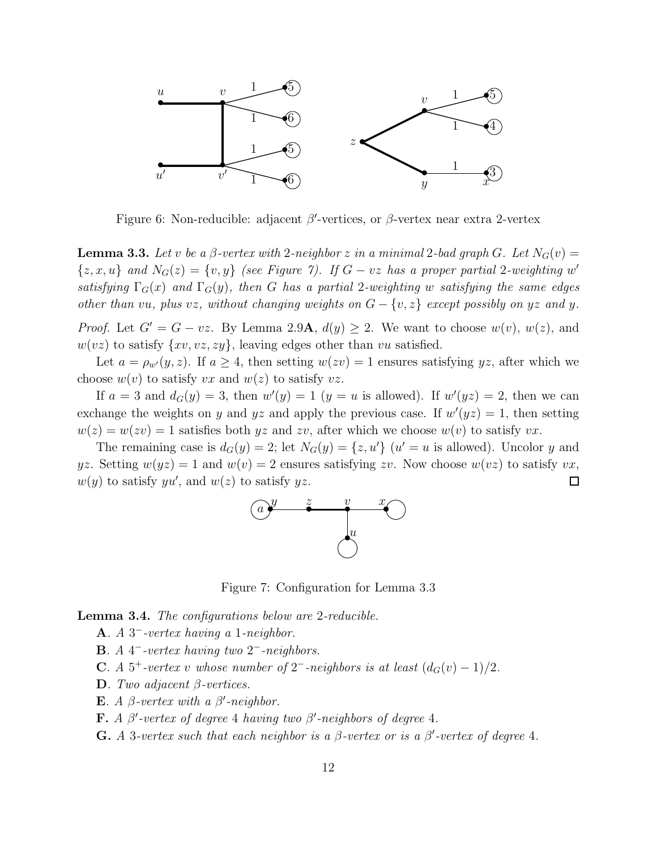

Figure 6: Non-reducible: adjacent  $\beta'$ -vertices, or  $\beta$ -vertex near extra 2-vertex

**Lemma 3.3.** Let v be a  $\beta$ -vertex with 2-neighbor z in a minimal 2-bad graph G. Let  $N_G(v)$  =  $\{z, x, u\}$  and  $N_G(z) = \{v, y\}$  *(see Figure 7).* If  $G - vz$  has a proper partial 2-weighting w' *satisfying*  $\Gamma_G(x)$  *and*  $\Gamma_G(y)$ *, then* G *has a partial* 2*-weighting* w *satisfying* the *same edges other than* vu, plus vz, without changing weights on  $G - \{v, z\}$  *except possibly on yz and y.* 

*Proof.* Let  $G' = G - vz$ . By Lemma 2.9**A**,  $d(y) \ge 2$ . We want to choose  $w(v)$ ,  $w(z)$ , and  $w(vz)$  to satisfy  $\{xv, vz, zy\}$ , leaving edges other than vu satisfied.

Let  $a = \rho_{w}(y, z)$ . If  $a \geq 4$ , then setting  $w(zv) = 1$  ensures satisfying yz, after which we choose  $w(v)$  to satisfy vx and  $w(z)$  to satisfy vz.

If  $a = 3$  and  $d_G(y) = 3$ , then  $w'(y) = 1$   $(y = u$  is allowed). If  $w'(yz) = 2$ , then we can exchange the weights on y and yz and apply the previous case. If  $w'(yz) = 1$ , then setting  $w(z) = w(zv) = 1$  satisfies both yz and zv, after which we choose  $w(v)$  to satisfy vx.

The remaining case is  $d_G(y) = 2$ ; let  $N_G(y) = \{z, u'\}$   $(u' = u$  is allowed). Uncolor y and yz. Setting  $w(yz) = 1$  and  $w(v) = 2$  ensures satisfying zv. Now choose  $w(vz)$  to satisfy  $vx$ ,  $w(y)$  to satisfy  $yu'$ , and  $w(z)$  to satisfy  $yz$ . □



Figure 7: Configuration for Lemma 3.3

Lemma 3.4. *The configurations below are* 2*-reducible.*

- A*. A* 3 <sup>−</sup>*-vertex having a* 1*-neighbor.*
- B*. A* 4 <sup>−</sup>*-vertex having two* 2 <sup>−</sup>*-neighbors.*
- **C***.* A 5<sup>+</sup>-vertex v whose number of 2<sup>−</sup>-neighbors is at least  $(d_G(v) 1)/2$ *.*
- D*. Two adjacent* β*-vertices.*
- **E***. A*  $\beta$ *-vertex with a*  $\beta'$ *-neighbor.*
- **F.** *A*  $\beta'$ -vertex of degree 4 having two  $\beta'$ -neighbors of degree 4.
- **G.** A 3-vertex such that each neighbor is a  $\beta$ -vertex or is a  $\beta'$ -vertex of degree 4.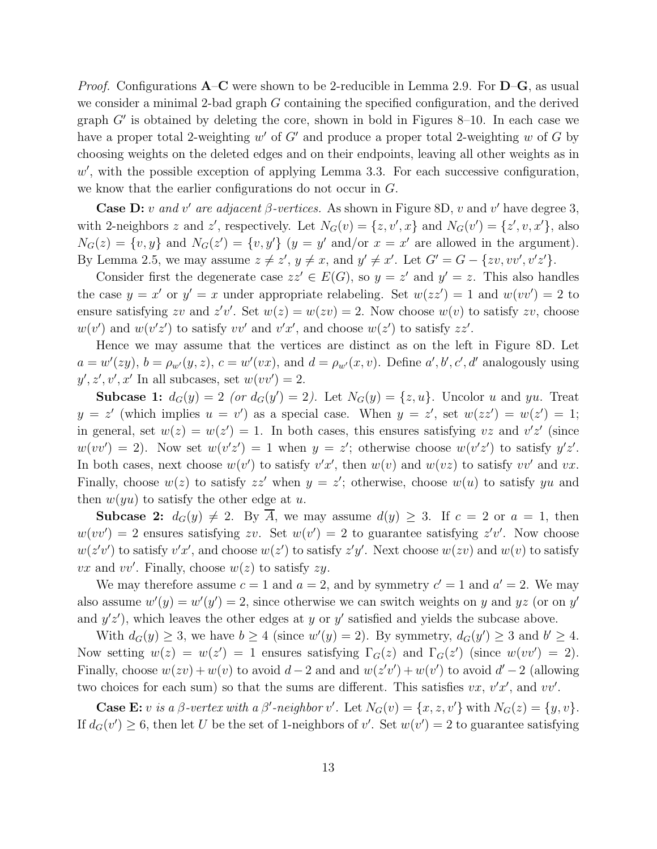*Proof.* Configurations A–C were shown to be 2-reducible in Lemma 2.9. For D–G, as usual we consider a minimal 2-bad graph G containing the specified configuration, and the derived graph  $G'$  is obtained by deleting the core, shown in bold in Figures 8-10. In each case we have a proper total 2-weighting  $w'$  of  $G'$  and produce a proper total 2-weighting w of G by choosing weights on the deleted edges and on their endpoints, leaving all other weights as in w', with the possible exception of applying Lemma 3.3. For each successive configuration, we know that the earlier configurations do not occur in G.

Case D: v and v' are adjacent  $\beta$ -vertices. As shown in Figure 8D, v and v' have degree 3, with 2-neighbors z and z', respectively. Let  $N_G(v) = \{z, v', x\}$  and  $N_G(v') = \{z', v, x'\}$ , also  $N_G(z) = \{v, y\}$  and  $N_G(z') = \{v, y'\}$   $(y = y'$  and/or  $x = x'$  are allowed in the argument). By Lemma 2.5, we may assume  $z \neq z'$ ,  $y \neq x$ , and  $y' \neq x'$ . Let  $G' = G - \{zv, vv', v'z'\}$ .

Consider first the degenerate case  $zz' \in E(G)$ , so  $y = z'$  and  $y' = z$ . This also handles the case  $y = x'$  or  $y' = x$  under appropriate relabeling. Set  $w(zz') = 1$  and  $w(vv') = 2$  to ensure satisfying zv and  $z'v'$ . Set  $w(z) = w(zv) = 2$ . Now choose  $w(v)$  to satisfy zv, choose  $w(v')$  and  $w(v'z')$  to satisfy  $vv'$  and  $v'x'$ , and choose  $w(z')$  to satisfy  $zz'$ .

Hence we may assume that the vertices are distinct as on the left in Figure 8D. Let  $a = w'(zy)$ ,  $b = \rho_{w}(y, z)$ ,  $c = w'(vx)$ , and  $d = \rho_{w'}(x, v)$ . Define  $a', b', c', d'$  analogously using  $y', z', v', x'$  In all subcases, set  $w(vv') = 2$ .

**Subcase 1:**  $d_G(y) = 2$  (or  $d_G(y') = 2$ ). Let  $N_G(y) = \{z, u\}$ . Uncolor u and yu. Treat  $y = z'$  (which implies  $u = v'$ ) as a special case. When  $y = z'$ , set  $w(zz') = w(z') = 1$ ; in general, set  $w(z) = w(z') = 1$ . In both cases, this ensures satisfying vz and  $v'z'$  (since  $w(vv') = 2$ ). Now set  $w(v'z') = 1$  when  $y = z'$ ; otherwise choose  $w(v'z')$  to satisfy  $y'z'$ . In both cases, next choose  $w(v')$  to satisfy  $v'x'$ , then  $w(v)$  and  $w(vz)$  to satisfy  $vv'$  and  $vx$ . Finally, choose  $w(z)$  to satisfy  $zz'$  when  $y = z'$ ; otherwise, choose  $w(u)$  to satisfy yu and then  $w(yu)$  to satisfy the other edge at u.

**Subcase 2:**  $d_G(y) \neq 2$ . By  $\overline{A}$ , we may assume  $d(y) \geq 3$ . If  $c = 2$  or  $a = 1$ , then  $w(vv') = 2$  ensures satisfying zv. Set  $w(v') = 2$  to guarantee satisfying  $z'v'$ . Now choose  $w(z'v')$  to satisfy  $v'x'$ , and choose  $w(z')$  to satisfy  $z'y'$ . Next choose  $w(zv)$  and  $w(v)$  to satisfy vx and vv'. Finally, choose  $w(z)$  to satisfy zy.

We may therefore assume  $c = 1$  and  $a = 2$ , and by symmetry  $c' = 1$  and  $a' = 2$ . We may also assume  $w'(y) = w'(y') = 2$ , since otherwise we can switch weights on y and yz (or on y' and  $y'z'$ , which leaves the other edges at y or y' satisfied and yields the subcase above.

With  $d_G(y) \ge 3$ , we have  $b \ge 4$  (since  $w'(y) = 2$ ). By symmetry,  $d_G(y') \ge 3$  and  $b' \ge 4$ . Now setting  $w(z) = w(z') = 1$  ensures satisfying  $\Gamma_G(z)$  and  $\Gamma_G(z')$  (since  $w(vv') = 2$ ). Finally, choose  $w(zv) + w(v)$  to avoid  $d-2$  and and  $w(z'v') + w(v')$  to avoid  $d'-2$  (allowing two choices for each sum) so that the sums are different. This satisfies  $vx, v'x'$ , and  $vv'$ .

**Case E:** v is a  $\beta$ -vertex with a  $\beta'$ -neighbor v'. Let  $N_G(v) = \{x, z, v'\}$  with  $N_G(z) = \{y, v\}$ . If  $d_G(v') \geq 6$ , then let U be the set of 1-neighbors of v'. Set  $w(v') = 2$  to guarantee satisfying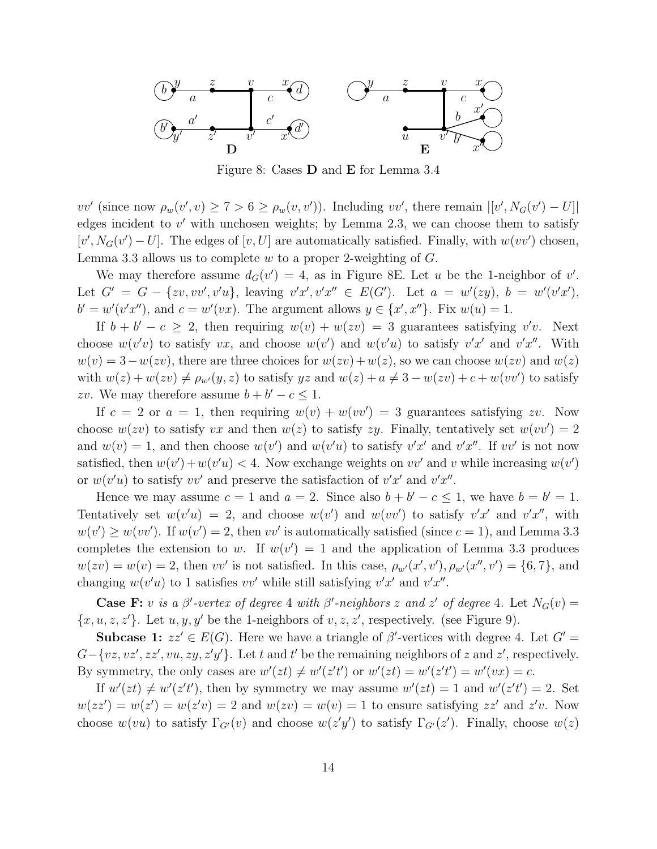

Figure 8: Cases D and E for Lemma 3.4

 $vv'$  (since now  $\rho_w(v', v) \ge 7 > 6 \ge \rho_w(v, v')$ ). Including  $vv'$ , there remain  $|[v', N_G(v') - U]|$ edges incident to  $v'$  with unchosen weights; by Lemma 2.3, we can choose them to satisfy  $[v', N_G(v') - U]$ . The edges of  $[v, U]$  are automatically satisfied. Finally, with  $w(vv')$  chosen, Lemma 3.3 allows us to complete  $w$  to a proper 2-weighting of  $G$ .

We may therefore assume  $d_G(v') = 4$ , as in Figure 8E. Let u be the 1-neighbor of v'. Let  $G' = G - \{zv, vv', v'u\}$ , leaving  $v'x', v'x'' \in E(G')$ . Let  $a = w'(zy)$ ,  $b = w'(v'x')$ ,  $b' = w'(v'x'')$ , and  $c = w'(vx)$ . The argument allows  $y \in \{x', x''\}$ . Fix  $w(u) = 1$ .

If  $b + b' - c \ge 2$ , then requiring  $w(v) + w(zv) = 3$  guarantees satisfying v'v. Next choose  $w(v'v)$  to satisfy vx, and choose  $w(v')$  and  $w(v'u)$  to satisfy v'x' and v'x''. With  $w(v) = 3-w(zv)$ , there are three choices for  $w(zv) + w(z)$ , so we can choose  $w(zv)$  and  $w(z)$ with  $w(z) + w(zv) \neq \rho_{w'}(y, z)$  to satisfy  $yz$  and  $w(z) + a \neq 3 - w(zv) + c + w(vv')$  to satisfy zv. We may therefore assume  $b + b' - c \leq 1$ .

If  $c = 2$  or  $a = 1$ , then requiring  $w(v) + w(vv') = 3$  guarantees satisfying zv. Now choose  $w(zv)$  to satisfy vx and then  $w(z)$  to satisfy zy. Finally, tentatively set  $w(vv') = 2$ and  $w(v) = 1$ , and then choose  $w(v')$  and  $w(v'u)$  to satisfy  $v'x'$  and  $v'x''$ . If  $vv'$  is not now satisfied, then  $w(v') + w(v'u) < 4$ . Now exchange weights on  $vv'$  and v while increasing  $w(v')$ or  $w(v'u)$  to satisfy  $vv'$  and preserve the satisfaction of  $v'x'$  and  $v'x''$ .

Hence we may assume  $c = 1$  and  $a = 2$ . Since also  $b + b' - c \le 1$ , we have  $b = b' = 1$ . Tentatively set  $w(v'u) = 2$ , and choose  $w(v')$  and  $w(vv')$  to satisfy  $v'x'$  and  $v'x''$ , with  $w(v') \geq w(vv')$ . If  $w(v') = 2$ , then vv' is automatically satisfied (since  $c = 1$ ), and Lemma 3.3 completes the extension to w. If  $w(v') = 1$  and the application of Lemma 3.3 produces  $w(zv) = w(v) = 2$ , then vv' is not satisfied. In this case,  $\rho_{w'}(x', v'), \rho_{w'}(x'', v') = \{6, 7\}$ , and changing  $w(v'u)$  to 1 satisfies  $vv'$  while still satisfying  $v'x'$  and  $v'x''$ .

**Case F:** v is a  $\beta'$ -vertex of degree 4 with  $\beta'$ -neighbors z and z' of degree 4. Let  $N_G(v)$  =  $\{x, u, z, z'\}.$  Let  $u, y, y'$  be the 1-neighbors of  $v, z, z'$ , respectively. (see Figure 9).

**Subcase 1:**  $zz' \in E(G)$ . Here we have a triangle of  $\beta'$ -vertices with degree 4. Let  $G' =$  $G-\lbrace vz, vz', zz', vu, zy, z'y'\rbrace$ . Let t and t' be the remaining neighbors of z and z', respectively. By symmetry, the only cases are  $w'(zt) \neq w'(z't')$  or  $w'(zt) = w'(z't') = w'(vx) = c$ .

If  $w'(zt) \neq w'(z't')$ , then by symmetry we may assume  $w'(zt) = 1$  and  $w'(z't') = 2$ . Set  $w(zz') = w(z') = w(z'v) = 2$  and  $w(zv) = w(v) = 1$  to ensure satisfying  $zz'$  and  $z'v$ . Now choose  $w(vu)$  to satisfy  $\Gamma_{G'}(v)$  and choose  $w(z'y')$  to satisfy  $\Gamma_{G'}(z')$ . Finally, choose  $w(z)$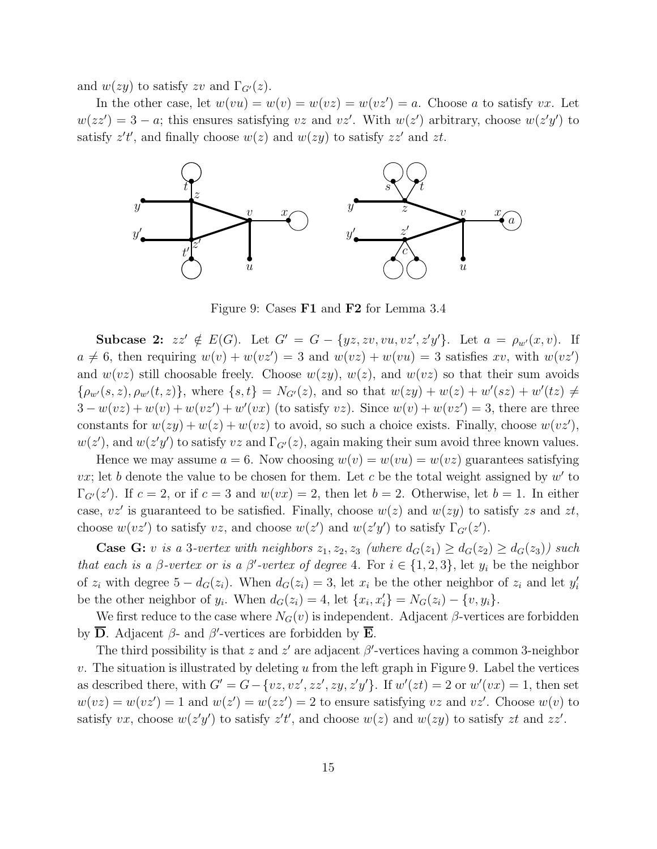and  $w(zy)$  to satisfy zv and  $\Gamma_{G'}(z)$ .

In the other case, let  $w(vu) = w(v) = w(vz) = w(vz') = a$ . Choose a to satisfy vx. Let  $w(zz') = 3 - a$ ; this ensures satisfying vz and vz'. With  $w(z')$  arbitrary, choose  $w(z'y')$  to satisfy  $z't'$ , and finally choose  $w(z)$  and  $w(zy)$  to satisfy  $zz'$  and  $zt$ .



Figure 9: Cases F1 and F2 for Lemma 3.4

Subcase 2:  $zz' \notin E(G)$ . Let  $G' = G - \{yz, zv, vu, vz', z'y'\}$ . Let  $a = \rho_{w'}(x, v)$ . If  $a \neq 6$ , then requiring  $w(v) + w(vz') = 3$  and  $w(vz) + w(vu) = 3$  satisfies xv, with  $w(vz')$ and  $w(vz)$  still choosable freely. Choose  $w(zy)$ ,  $w(z)$ , and  $w(vz)$  so that their sum avoids  $\{\rho_{w'}(s, z), \rho_{w'}(t, z)\}\$ , where  $\{s, t\} = N_{G'}(z)$ , and so that  $w(zy) + w(z) + w'(sz) + w'(tz) \neq$  $3 - w(vz) + w(v) + w(vz') + w'(vx)$  (to satisfy vz). Since  $w(v) + w(vz') = 3$ , there are three constants for  $w(zy) + w(z) + w(uz)$  to avoid, so such a choice exists. Finally, choose  $w(vz')$ ,  $w(z')$ , and  $w(z'y')$  to satisfy vz and  $\Gamma_{G'}(z)$ , again making their sum avoid three known values.

Hence we may assume  $a = 6$ . Now choosing  $w(v) = w(vu) = w(vz)$  guarantees satisfying vx; let b denote the value to be chosen for them. Let c be the total weight assigned by  $w'$  to  $\Gamma_{G'}(z')$ . If  $c=2$ , or if  $c=3$  and  $w(vx)=2$ , then let  $b=2$ . Otherwise, let  $b=1$ . In either case,  $vz'$  is guaranteed to be satisfied. Finally, choose  $w(z)$  and  $w(zy)$  to satisfy zs and zt, choose  $w(vz')$  to satisfy vz, and choose  $w(z')$  and  $w(z'y')$  to satisfy  $\Gamma_{G'}(z')$ .

**Case G:** v is a 3-vertex with neighbors  $z_1, z_2, z_3$  (where  $d_G(z_1) \geq d_G(z_2) \geq d_G(z_3)$ ) such *that each is a*  $\beta$ *-vertex or is a*  $\beta'$ *-vertex of degree* 4. For  $i \in \{1, 2, 3\}$ , let  $y_i$  be the neighbor of  $z_i$  with degree  $5 - d_G(z_i)$ . When  $d_G(z_i) = 3$ , let  $x_i$  be the other neighbor of  $z_i$  and let  $y'_i$ be the other neighbor of  $y_i$ . When  $d_G(z_i) = 4$ , let  $\{x_i, x'_i\} = N_G(z_i) - \{v, y_i\}$ .

We first reduce to the case where  $N_G(v)$  is independent. Adjacent  $\beta$ -vertices are forbidden by  $\overline{D}$ . Adjacent  $\beta$ - and  $\beta'$ -vertices are forbidden by  $\overline{E}$ .

The third possibility is that z and z' are adjacent  $\beta'$ -vertices having a common 3-neighbor v. The situation is illustrated by deleting u from the left graph in Figure 9. Label the vertices as described there, with  $G' = G - \{vz, vz', zz', zy, z'y'\}$ . If  $w'(zt) = 2$  or  $w'(vx) = 1$ , then set  $w(vz) = w(vz') = 1$  and  $w(z') = w(zz') = 2$  to ensure satisfying vz and vz'. Choose  $w(v)$  to satisfy  $vx$ , choose  $w(z'y')$  to satisfy  $z't'$ , and choose  $w(z)$  and  $w(zy)$  to satisfy  $zt$  and  $zz'$ .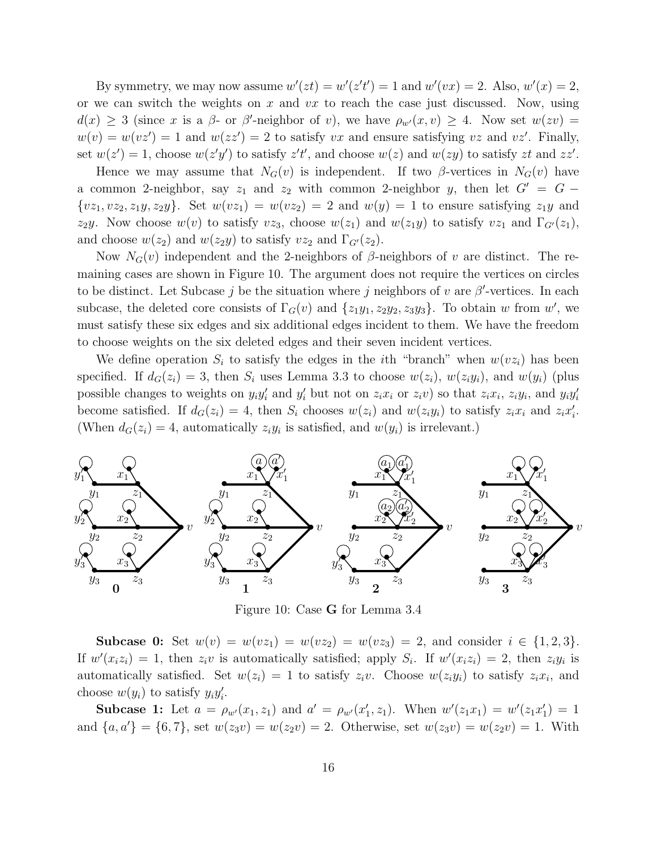By symmetry, we may now assume  $w'(zt) = w'(z't') = 1$  and  $w'(vx) = 2$ . Also,  $w'(x) = 2$ , or we can switch the weights on x and  $vx$  to reach the case just discussed. Now, using  $d(x) \geq 3$  (since x is a  $\beta$ - or  $\beta'$ -neighbor of v), we have  $\rho_{w'}(x, v) \geq 4$ . Now set  $w(zv) =$  $w(v) = w(vz') = 1$  and  $w(zz') = 2$  to satisfy vx and ensure satisfying vz and vz'. Finally, set  $w(z') = 1$ , choose  $w(z'y')$  to satisfy  $z't'$ , and choose  $w(z)$  and  $w(zy)$  to satisfy zt and  $zz'$ .

Hence we may assume that  $N_G(v)$  is independent. If two  $\beta$ -vertices in  $N_G(v)$  have a common 2-neighbor, say  $z_1$  and  $z_2$  with common 2-neighbor y, then let  $G' = G \{v_1, v_2, z_1y, z_2y\}$ . Set  $w(v_1) = w(v_2) = 2$  and  $w(y) = 1$  to ensure satisfying  $z_1y$  and z<sub>2</sub>y. Now choose  $w(v)$  to satisfy  $vz_3$ , choose  $w(z_1)$  and  $w(z_1y)$  to satisfy  $vz_1$  and  $\Gamma_{G'}(z_1)$ , and choose  $w(z_2)$  and  $w(z_2y)$  to satisfy  $vz_2$  and  $\Gamma_{G'}(z_2)$ .

Now  $N_G(v)$  independent and the 2-neighbors of β-neighbors of v are distinct. The remaining cases are shown in Figure 10. The argument does not require the vertices on circles to be distinct. Let Subcase j be the situation where j neighbors of v are  $\beta'$ -vertices. In each subcase, the deleted core consists of  $\Gamma_G(v)$  and  $\{z_1y_1, z_2y_2, z_3y_3\}$ . To obtain w from w', we must satisfy these six edges and six additional edges incident to them. We have the freedom to choose weights on the six deleted edges and their seven incident vertices.

We define operation  $S_i$  to satisfy the edges in the *i*th "branch" when  $w(vz_i)$  has been specified. If  $d_G(z_i) = 3$ , then  $S_i$  uses Lemma 3.3 to choose  $w(z_i)$ ,  $w(z_i y_i)$ , and  $w(y_i)$  (plus possible changes to weights on  $y_i y'_i$  and  $y'_i$  but not on  $z_i x_i$  or  $z_i v$ ) so that  $z_i x_i$ ,  $z_i y_i$ , and  $y_i y'_i$ become satisfied. If  $d_G(z_i) = 4$ , then  $S_i$  chooses  $w(z_i)$  and  $w(z_i y_i)$  to satisfy  $z_i x_i$  and  $z_i x'_i$ . (When  $d_G(z_i) = 4$ , automatically  $z_i y_i$  is satisfied, and  $w(y_i)$  is irrelevant.)



Figure 10: Case G for Lemma 3.4

Subcase 0: Set  $w(v) = w(vz_1) = w(vz_2) = w(vz_3) = 2$ , and consider  $i \in \{1,2,3\}$ . If  $w'(x_iz_i) = 1$ , then  $z_i v$  is automatically satisfied; apply  $S_i$ . If  $w'(x_iz_i) = 2$ , then  $z_i y_i$  is automatically satisfied. Set  $w(z_i) = 1$  to satisfy  $z_i v$ . Choose  $w(z_i y_i)$  to satisfy  $z_i x_i$ , and choose  $w(y_i)$  to satisfy  $y_i y'_i$ .

**Subcase 1:** Let  $a = \rho_{w}(x_1, z_1)$  and  $a' = \rho_{w'}(x'_1, z_1)$ . When  $w'(z_1x_1) = w'(z_1x'_1) = 1$ and  $\{a, a'\} = \{6, 7\}$ , set  $w(z_3v) = w(z_2v) = 2$ . Otherwise, set  $w(z_3v) = w(z_2v) = 1$ . With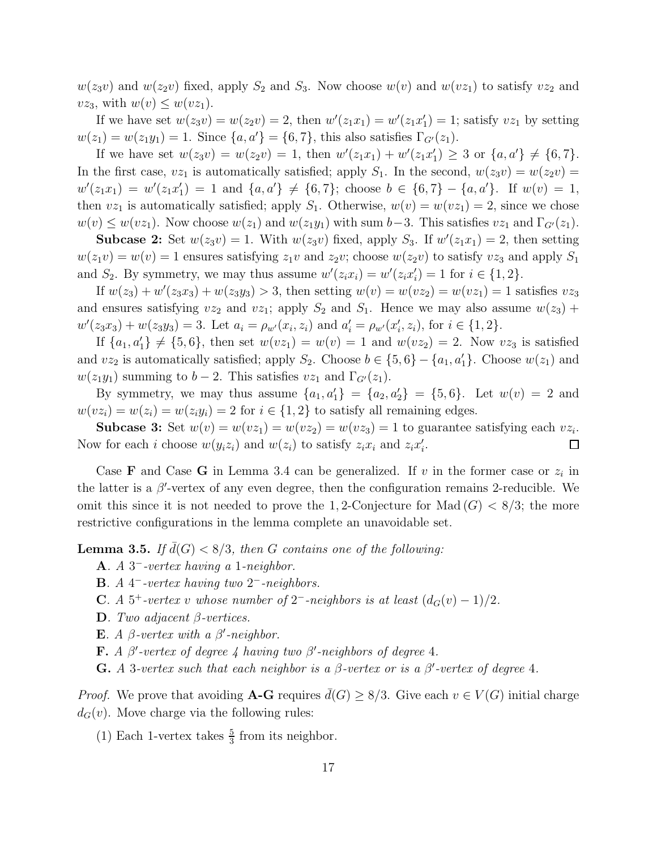$w(z_3v)$  and  $w(z_2v)$  fixed, apply  $S_2$  and  $S_3$ . Now choose  $w(v)$  and  $w(vz_1)$  to satisfy  $vz_2$  and  $vz_3$ , with  $w(v) \leq w(vz_1)$ .

If we have set  $w(z_3v) = w(z_2v) = 2$ , then  $w'(z_1x_1) = w'(z_1x_1') = 1$ ; satisfy  $vz_1$  by setting  $w(z_1) = w(z_1y_1) = 1$ . Since  $\{a, a'\} = \{6, 7\}$ , this also satisfies  $\Gamma_{G'}(z_1)$ .

If we have set  $w(z_3v) = w(z_2v) = 1$ , then  $w'(z_1x_1) + w'(z_1x_1') \geq 3$  or  $\{a, a'\} \neq \{6, 7\}$ . In the first case,  $vz_1$  is automatically satisfied; apply  $S_1$ . In the second,  $w(z_3v) = w(z_2v)$  $w'(z_1x_1) = w'(z_1x_1') = 1$  and  $\{a, a'\} \neq \{6, 7\}$ ; choose  $b \in \{6, 7\} - \{a, a'\}$ . If  $w(v) = 1$ , then  $vz_1$  is automatically satisfied; apply  $S_1$ . Otherwise,  $w(v) = w(vz_1) = 2$ , since we chose  $w(v) \leq w(vz_1)$ . Now choose  $w(z_1)$  and  $w(z_1y_1)$  with sum  $b-3$ . This satisfies  $vz_1$  and  $\Gamma_{G'}(z_1)$ .

**Subcase 2:** Set  $w(z_3v) = 1$ . With  $w(z_3v)$  fixed, apply  $S_3$ . If  $w'(z_1x_1) = 2$ , then setting  $w(z_1v) = w(v) = 1$  ensures satisfying  $z_1v$  and  $z_2v$ ; choose  $w(z_2v)$  to satisfy  $vz_3$  and apply  $S_1$ and  $S_2$ . By symmetry, we may thus assume  $w'(z_i x_i) = w'(z_i x_i') = 1$  for  $i \in \{1, 2\}$ .

If  $w(z_3) + w'(z_3z_3) + w(z_3y_3) > 3$ , then setting  $w(v) = w(vz_2) = w(vz_1) = 1$  satisfies  $vz_3$ and ensures satisfying  $vz_2$  and  $vz_1$ ; apply  $S_2$  and  $S_1$ . Hence we may also assume  $w(z_3)$  +  $w'(z_3x_3) + w(z_3y_3) = 3.$  Let  $a_i = \rho_{w'}(x_i, z_i)$  and  $a'_i = \rho_{w'}(x'_i, z_i)$ , for  $i \in \{1, 2\}.$ 

If  $\{a_1, a'_1\} \neq \{5, 6\}$ , then set  $w(vz_1) = w(v) = 1$  and  $w(vz_2) = 2$ . Now  $vz_3$  is satisfied and  $vz_2$  is automatically satisfied; apply  $S_2$ . Choose  $b \in \{5, 6\} - \{a_1, a'_1\}$ . Choose  $w(z_1)$  and  $w(z_1y_1)$  summing to  $b-2$ . This satisfies  $vz_1$  and  $\Gamma_{G'}(z_1)$ .

By symmetry, we may thus assume  $\{a_1, a'_1\} = \{a_2, a'_2\} = \{5, 6\}$ . Let  $w(v) = 2$  and  $w(vz_i) = w(z_i) = w(z_iy_i) = 2$  for  $i \in \{1,2\}$  to satisfy all remaining edges.

**Subcase 3:** Set  $w(v) = w(vz_1) = w(vz_2) = w(vz_3) = 1$  to guarantee satisfying each  $vz_i$ . Now for each *i* choose  $w(y_iz_i)$  and  $w(z_i)$  to satisfy  $z_ix_i$  and  $z_ix'_i$ .  $\Box$ 

Case **F** and Case **G** in Lemma 3.4 can be generalized. If v in the former case or  $z_i$  in the latter is a  $\beta'$ -vertex of any even degree, then the configuration remains 2-reducible. We omit this since it is not needed to prove the 1,2-Conjecture for Mad  $(G) < 8/3$ ; the more restrictive configurations in the lemma complete an unavoidable set.

**Lemma 3.5.** If  $\bar{d}(G) < 8/3$ , then G contains one of the following:

- A*. A* 3 <sup>−</sup>*-vertex having a* 1*-neighbor.*
- B*. A* 4 <sup>−</sup>*-vertex having two* 2 <sup>−</sup>*-neighbors.*
- C*.* A 5<sup>+</sup>-vertex v whose number of  $2^-$ -neighbors is at least  $(d_G(v) 1)/2$ *.*
- D*. Two adjacent* β*-vertices.*
- **E***. A*  $\beta$ *-vertex with a*  $\beta'$ *-neighbor.*
- **F.** *A*  $\beta'$ -vertex of degree 4 having two  $\beta'$ -neighbors of degree 4.
- **G.** A 3-vertex such that each neighbor is a  $\beta$ -vertex or is a  $\beta'$ -vertex of degree 4.

*Proof.* We prove that avoiding **A-G** requires  $d(G) \geq 8/3$ . Give each  $v \in V(G)$  initial charge  $d_G(v)$ . Move charge via the following rules:

(1) Each 1-vertex takes  $\frac{5}{3}$  from its neighbor.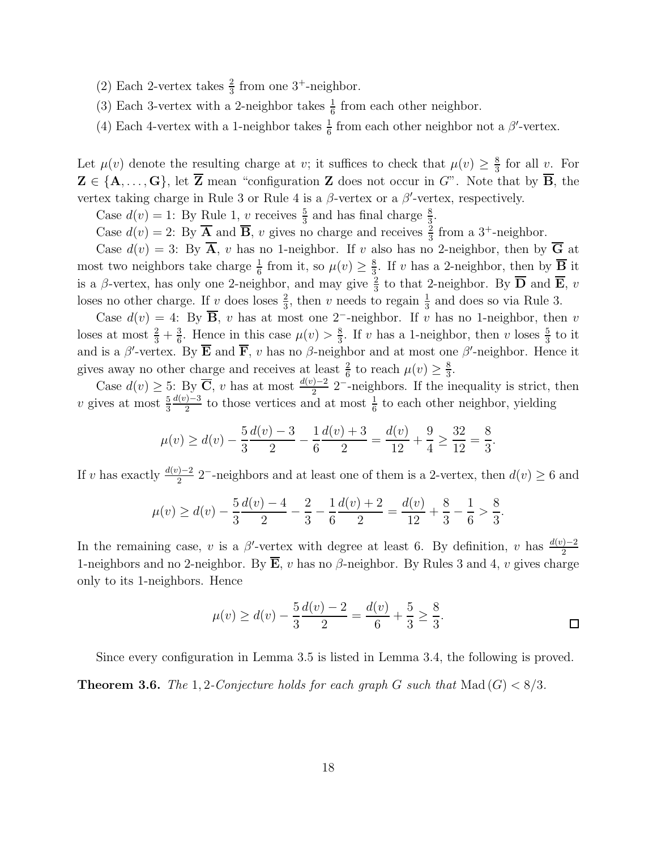- (2) Each 2-vertex takes  $\frac{2}{3}$  from one 3<sup>+</sup>-neighbor.
- (3) Each 3-vertex with a 2-neighbor takes  $\frac{1}{6}$  from each other neighbor.
- (4) Each 4-vertex with a 1-neighbor takes  $\frac{1}{6}$  from each other neighbor not a  $\beta'$ -vertex.

Let  $\mu(v)$  denote the resulting charge at v; it suffices to check that  $\mu(v) \geq \frac{8}{3}$  $\frac{8}{3}$  for all  $\upsilon$ . For  $\mathbf{Z} \in \{\mathbf{A}, \ldots, \mathbf{G}\}\)$ , let  $\overline{\mathbf{Z}}$  mean "configuration  $\mathbf{Z}$  does not occur in  $G$ ". Note that by  $\overline{\mathbf{B}}$ , the vertex taking charge in Rule 3 or Rule 4 is a  $\beta$ -vertex or a  $\beta'$ -vertex, respectively.

Case  $d(v) = 1$ : By Rule 1, v receives  $\frac{5}{3}$  and has final charge  $\frac{8}{3}$ .

Case  $d(v) = 2$ : By  $\overline{A}$  and  $\overline{B}$ , v gives no charge and receives  $\frac{2}{3}$  from a 3<sup>+</sup>-neighbor.

Case  $d(v) = 3$ : By  $\overline{A}$ , v has no 1-neighbor. If v also has no 2-neighbor, then by  $\overline{G}$  at most two neighbors take charge  $\frac{1}{6}$  from it, so  $\mu(v) \ge \frac{8}{3}$  $\frac{8}{3}$ . If v has a 2-neighbor, then by **B** it is a  $\beta$ -vertex, has only one 2-neighbor, and may give  $\frac{2}{3}$  to that 2-neighbor. By  $\overline{D}$  and  $\overline{E}$ , v loses no other charge. If v does loses  $\frac{2}{3}$ , then v needs to regain  $\frac{1}{3}$  and does so via Rule 3.

Case  $d(v) = 4$ : By **B**, v has at most one 2<sup>-</sup>-neighbor. If v has no 1-neighbor, then v loses at most  $\frac{2}{3} + \frac{3}{6}$  $\frac{3}{6}$ . Hence in this case  $\mu(v) > \frac{8}{3}$  $\frac{8}{3}$ . If v has a 1-neighbor, then v loses  $\frac{5}{3}$  to it and is a  $\beta'$ -vertex. By  $\overline{E}$  and  $\overline{F}$ , v has no  $\beta$ -neighbor and at most one  $\beta'$ -neighbor. Hence it gives away no other charge and receives at least  $\frac{2}{6}$  to reach  $\mu(v) \geq \frac{8}{3}$  $\frac{8}{3}$ .

Case  $d(v) \geq 5$ : By  $\overline{C}$ , v has at most  $\frac{d(v)-2}{2}$  2<sup>-</sup>-neighbors. If the inequality is strict, then  $v$  gives at most  $\frac{5}{3}$  $d(v)$ −3  $\frac{2}{2}$  to those vertices and at most  $\frac{1}{6}$  to each other neighbor, yielding

$$
\mu(v) \ge d(v) - \frac{5}{3} \frac{d(v) - 3}{2} - \frac{1}{6} \frac{d(v) + 3}{2} = \frac{d(v)}{12} + \frac{9}{4} \ge \frac{32}{12} = \frac{8}{3}.
$$

If v has exactly  $\frac{d(v)-2}{2}$  2<sup>-</sup>-neighbors and at least one of them is a 2-vertex, then  $d(v) \ge 6$  and

$$
\mu(v) \ge d(v) - \frac{5}{3} \frac{d(v) - 4}{2} - \frac{2}{3} - \frac{1}{6} \frac{d(v) + 2}{2} = \frac{d(v)}{12} + \frac{8}{3} - \frac{1}{6} > \frac{8}{3}.
$$

In the remaining case, v is a  $\beta'$ -vertex with degree at least 6. By definition, v has  $\frac{d(v)-2}{2}$ 1-neighbors and no 2-neighbor. By  $\overline{E}$ , v has no  $\beta$ -neighbor. By Rules 3 and 4, v gives charge only to its 1-neighbors. Hence

$$
\mu(v) \ge d(v) - \frac{5}{3} \frac{d(v) - 2}{2} = \frac{d(v)}{6} + \frac{5}{3} \ge \frac{8}{3}.
$$

Since every configuration in Lemma 3.5 is listed in Lemma 3.4, the following is proved.

**Theorem 3.6.** *The* 1, 2-Conjecture holds for each graph G such that  $\text{Mad}(G) < 8/3$ .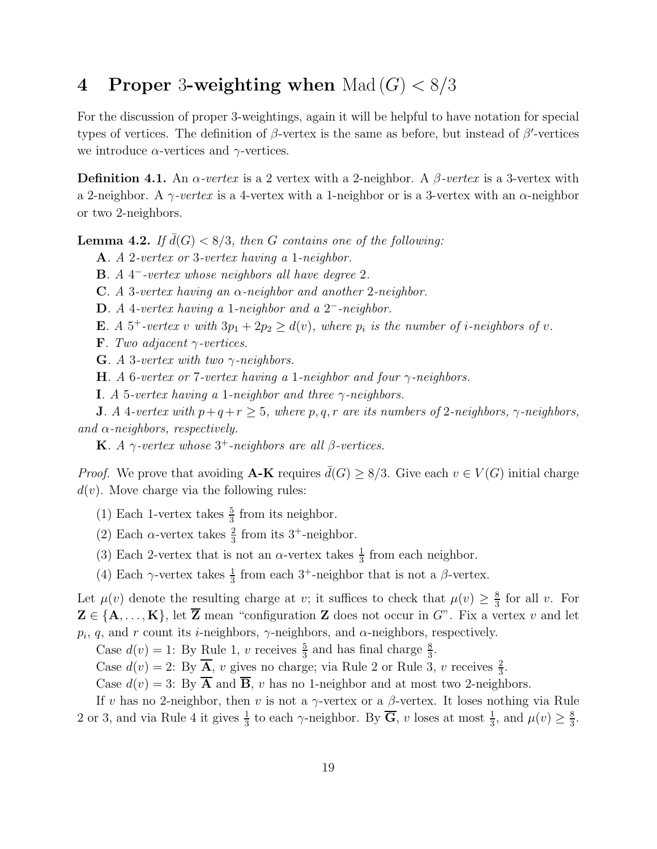## 4 Proper 3-weighting when  $\text{Mad}(G) < 8/3$

For the discussion of proper 3-weightings, again it will be helpful to have notation for special types of vertices. The definition of  $\beta$ -vertex is the same as before, but instead of  $\beta'$ -vertices we introduce  $\alpha$ -vertices and  $\gamma$ -vertices.

**Definition 4.1.** An  $\alpha$ -vertex is a 2 vertex with a 2-neighbor. A  $\beta$ -vertex is a 3-vertex with a 2-neighbor. A  $\gamma$ -vertex is a 4-vertex with a 1-neighbor or is a 3-vertex with an  $\alpha$ -neighbor or two 2-neighbors.

**Lemma 4.2.** If  $\bar{d}(G) < 8/3$ , then G contains one of the following:

A*. A* 2*-vertex or* 3*-vertex having a* 1*-neighbor.*

B*. A* 4 <sup>−</sup>*-vertex whose neighbors all have degree* 2*.*

C*. A* 3*-vertex having an* α*-neighbor and another* 2*-neighbor.*

D*. A* 4*-vertex having a* 1*-neighbor and a* 2 <sup>−</sup>*-neighbor.*

**E***.* A 5<sup>+</sup>-vertex v with  $3p_1 + 2p_2 \geq d(v)$ , where  $p_i$  is the number of *i*-neighbors of v.

F*. Two adjacent* γ*-vertices.*

G*. A* 3*-vertex with two* γ*-neighbors.*

H*. A* 6*-vertex or* 7*-vertex having a* 1*-neighbor and four* γ*-neighbors.*

I*. A* 5*-vertex having a* 1*-neighbor and three* γ*-neighbors.*

*J.* A 4*-vertex with*  $p+q+r \geq 5$ *, where*  $p, q, r$  *are its numbers of* 2*-neighbors,*  $\gamma$ *-neighbors, and* α*-neighbors, respectively.*

**K***. A*  $\gamma$ -vertex whose  $3^+$ -neighbors are all  $\beta$ -vertices.

*Proof.* We prove that avoiding  $\mathbf{A}-\mathbf{K}$  requires  $\bar{d}(G) \geq 8/3$ . Give each  $v \in V(G)$  initial charge  $d(v)$ . Move charge via the following rules:

(1) Each 1-vertex takes  $\frac{5}{3}$  from its neighbor.

- (2) Each  $\alpha$ -vertex takes  $\frac{2}{3}$  from its 3<sup>+</sup>-neighbor.
- (3) Each 2-vertex that is not an  $\alpha$ -vertex takes  $\frac{1}{3}$  from each neighbor.
- (4) Each  $\gamma$ -vertex takes  $\frac{1}{3}$  from each 3<sup>+</sup>-neighbor that is not a  $\beta$ -vertex.

Let  $\mu(v)$  denote the resulting charge at v; it suffices to check that  $\mu(v) \geq \frac{8}{3}$  $\frac{8}{3}$  for all v. For  $\mathbf{Z} \in \{\mathbf{A}, \ldots, \mathbf{K}\},\$ let  $\mathbf{Z}$  mean "configuration  $\mathbf{Z}$  does not occur in  $G$ ". Fix a vertex  $v$  and let  $p_i$ , q, and r count its *i*-neighbors,  $\gamma$ -neighbors, and  $\alpha$ -neighbors, respectively.

Case  $d(v) = 1$ : By Rule 1, v receives  $\frac{5}{3}$  and has final charge  $\frac{8}{3}$ .

Case  $d(v) = 2$ : By  $\overline{A}$ , v gives no charge; via Rule 2 or Rule 3, v receives  $\frac{2}{3}$ .

Case  $d(v) = 3$ : By  $\overline{A}$  and  $\overline{B}$ , v has no 1-neighbor and at most two 2-neighbors.

If v has no 2-neighbor, then v is not a  $\gamma$ -vertex or a  $\beta$ -vertex. It loses nothing via Rule 2 or 3, and via Rule 4 it gives  $\frac{1}{3}$  to each  $\gamma$ -neighbor. By  $\overline{G}$ , v loses at most  $\frac{1}{3}$ , and  $\mu(v) \ge \frac{8}{3}$  $\frac{8}{3}$ .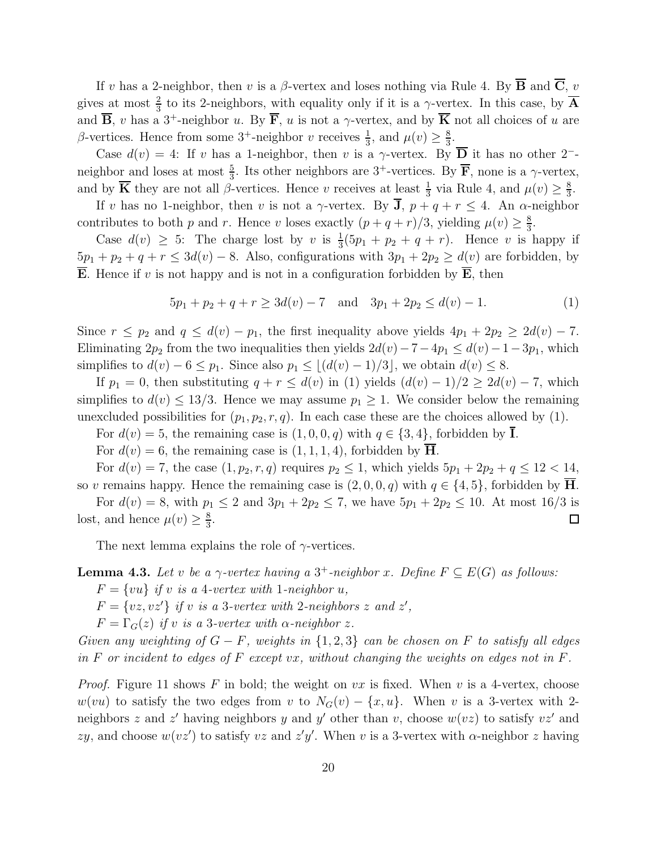If v has a 2-neighbor, then v is a  $\beta$ -vertex and loses nothing via Rule 4. By  $\overline{B}$  and  $\overline{C}$ , v gives at most  $\frac{2}{3}$  to its 2-neighbors, with equality only if it is a  $\gamma$ -vertex. In this case, by  $\overline{A}$ and  $\overline{B}$ , v has a 3<sup>+</sup>-neighbor u. By  $\overline{F}$ , u is not a  $\gamma$ -vertex, and by  $\overline{K}$  not all choices of u are β-vertices. Hence from some 3<sup>+</sup>-neighbor v receives  $\frac{1}{3}$ , and  $\mu(v) \ge \frac{8}{3}$  $\frac{8}{3}$ .

Case  $d(v) = 4$ : If v has a 1-neighbor, then v is a γ-vertex. By  $\overline{D}$  it has no other 2<sup>-</sup>neighbor and loses at most  $\frac{5}{3}$ . Its other neighbors are 3<sup>+</sup>-vertices. By  $\overline{F}$ , none is a  $\gamma$ -vertex, and by  $\overline{K}$  they are not all  $\beta$ -vertices. Hence v receives at least  $\frac{1}{3}$  via Rule 4, and  $\mu(v) \ge \frac{8}{3}$  $\frac{8}{3}$ .

If v has no 1-neighbor, then v is not a  $\gamma$ -vertex. By  $\overline{J}$ ,  $p + q + r \leq 4$ . An  $\alpha$ -neighbor contributes to both p and r. Hence v loses exactly  $(p+q+r)/3$ , yielding  $\mu(v) \geq \frac{8}{3}$  $\frac{8}{3}$ .

Case  $d(v) \geq 5$ : The charge lost by v is  $\frac{1}{3}(5p_1 + p_2 + q + r)$ . Hence v is happy if  $5p_1 + p_2 + q + r \leq 3d(v) - 8$ . Also, configurations with  $3p_1 + 2p_2 \geq d(v)$  are forbidden, by **E**. Hence if v is not happy and is not in a configuration forbidden by  $\mathbf{E}$ , then

$$
5p_1 + p_2 + q + r \ge 3d(v) - 7 \quad \text{and} \quad 3p_1 + 2p_2 \le d(v) - 1. \tag{1}
$$

Since  $r \leq p_2$  and  $q \leq d(v) - p_1$ , the first inequality above yields  $4p_1 + 2p_2 \geq 2d(v) - 7$ . Eliminating  $2p_2$  from the two inequalities then yields  $2d(v) - 7 - 4p_1 \le d(v) - 1 - 3p_1$ , which simplifies to  $d(v) - 6 \leq p_1$ . Since also  $p_1 \leq \lfloor (d(v) - 1)/3 \rfloor$ , we obtain  $d(v) \leq 8$ .

If  $p_1 = 0$ , then substituting  $q + r \leq d(v)$  in (1) yields  $(d(v) - 1)/2 \geq 2d(v) - 7$ , which simplifies to  $d(v) \leq 13/3$ . Hence we may assume  $p_1 \geq 1$ . We consider below the remaining unexcluded possibilities for  $(p_1, p_2, r, q)$ . In each case these are the choices allowed by (1).

For  $d(v) = 5$ , the remaining case is  $(1, 0, 0, q)$  with  $q \in \{3, 4\}$ , forbidden by **I**.

For  $d(v) = 6$ , the remaining case is  $(1, 1, 1, 4)$ , forbidden by **H**.

For  $d(v) = 7$ , the case  $(1, p_2, r, q)$  requires  $p_2 \le 1$ , which yields  $5p_1 + 2p_2 + q \le 12 < 14$ , so v remains happy. Hence the remaining case is  $(2,0,0,q)$  with  $q \in \{4,5\}$ , forbidden by  $\overline{H}$ .

For  $d(v) = 8$ , with  $p_1 \leq 2$  and  $3p_1 + 2p_2 \leq 7$ , we have  $5p_1 + 2p_2 \leq 10$ . At most  $16/3$  is lost, and hence  $\mu(v) \geq \frac{8}{3}$  $\frac{8}{3}$ .  $\Box$ 

The next lemma explains the role of  $\gamma$ -vertices.

**Lemma 4.3.** Let v be a  $\gamma$ -vertex having a  $3^+$ -neighbor x. Define  $F \subseteq E(G)$  as follows:  $F = \{vu\}$  *if* v *is a* 4*-vertex with* 1*-neighbor* u,  $F = \{vz, vz'\}$  if v is a 3-vertex with 2-neighbors z and z',

 $F = \Gamma_G(z)$  *if* v *is a* 3*-vertex with*  $\alpha$ *-neighbor* z.

*Given any weighting of* G − F*, weights in* {1, 2, 3} *can be chosen on* F *to satisfy all edges in* F *or incident to edges of* F *except* vx*, without changing the weights on edges not in* F*.*

*Proof.* Figure 11 shows F in bold; the weight on  $vx$  is fixed. When  $v$  is a 4-vertex, choose  $w(vu)$  to satisfy the two edges from v to  $N_G(v) - \{x, u\}$ . When v is a 3-vertex with 2neighbors z and z' having neighbors y and y' other than v, choose  $w(vz)$  to satisfy  $vz'$  and zy, and choose  $w(vz')$  to satisfy vz and  $z'y'$ . When v is a 3-vertex with  $\alpha$ -neighbor z having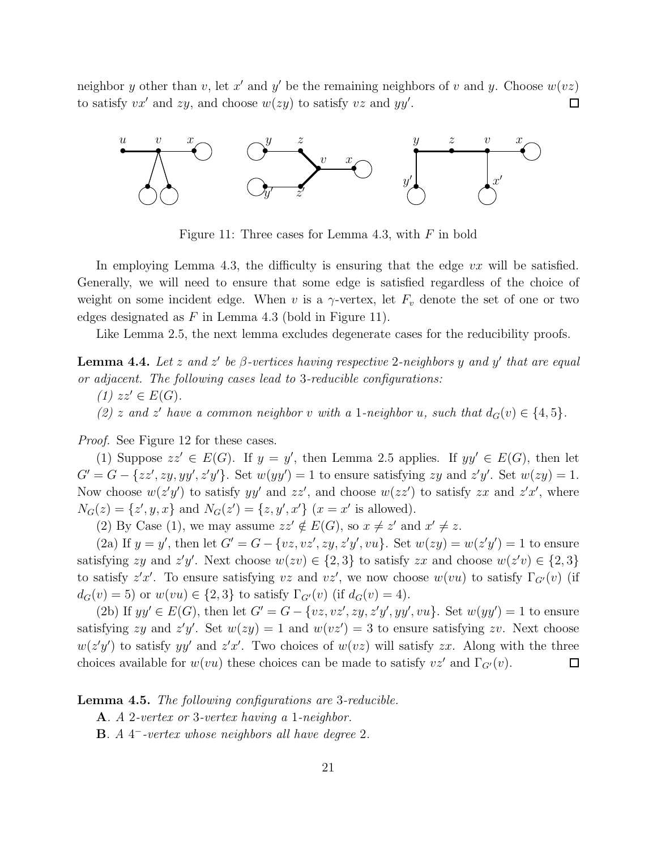neighbor y other than v, let x' and y' be the remaining neighbors of v and y. Choose  $w(vz)$ to satisfy  $vx'$  and  $zy$ , and choose  $w(zy)$  to satisfy  $vz$  and  $yy'$ . 口



Figure 11: Three cases for Lemma 4.3, with  $F$  in bold

In employing Lemma 4.3, the difficulty is ensuring that the edge  $vx$  will be satisfied. Generally, we will need to ensure that some edge is satisfied regardless of the choice of weight on some incident edge. When v is a  $\gamma$ -vertex, let  $F_v$  denote the set of one or two edges designated as  $F$  in Lemma 4.3 (bold in Figure 11).

Like Lemma 2.5, the next lemma excludes degenerate cases for the reducibility proofs.

**Lemma 4.4.** Let z and z' be  $\beta$ -vertices having respective 2-neighbors y and y' that are equal *or adjacent. The following cases lead to* 3*-reducible configurations:*

 $(1)$   $zz' \in E(G)$ .

(2) z and z' have a common neighbor v with a 1-neighbor u, such that  $d_G(v) \in \{4, 5\}$ .

*Proof.* See Figure 12 for these cases.

(1) Suppose  $zz' \in E(G)$ . If  $y = y'$ , then Lemma 2.5 applies. If  $yy' \in E(G)$ , then let  $G' = G - \{zz', zy, yy', z'y'\}.$  Set  $w(yy') = 1$  to ensure satisfying zy and  $z'y'$ . Set  $w(zy) = 1$ . Now choose  $w(z'y')$  to satisfy  $yy'$  and  $zz'$ , and choose  $w(zz')$  to satisfy  $zx$  and  $z'x'$ , where  $N_G(z) = \{z', y, x\}$  and  $N_G(z') = \{z, y', x'\}$   $(x = x'$  is allowed).

(2) By Case (1), we may assume  $zz' \notin E(G)$ , so  $x \neq z'$  and  $x' \neq z$ .

(2a) If  $y = y'$ , then let  $G' = G - \{vz, vz', zy, z'y', vu\}$ . Set  $w(zy) = w(z'y') = 1$  to ensure satisfying zy and z'y'. Next choose  $w(zv) \in \{2,3\}$  to satisfy zx and choose  $w(z'v) \in \{2,3\}$ to satisfy  $z'x'$ . To ensure satisfying vz and vz', we now choose  $w(vu)$  to satisfy  $\Gamma_{G'}(v)$  (if  $d_G(v) = 5$  or  $w(vu) \in \{2, 3\}$  to satisfy  $\Gamma_{G'}(v)$  (if  $d_G(v) = 4$ ).

(2b) If  $yy' \in E(G)$ , then let  $G' = G - \{vz, vz', zy, z'y', yy', vu\}$ . Set  $w(yy') = 1$  to ensure satisfying zy and  $z'y'$ . Set  $w(zy) = 1$  and  $w(vz') = 3$  to ensure satisfying zv. Next choose  $w(z'y')$  to satisfy yy' and  $z'x'$ . Two choices of  $w(vz)$  will satisfy zx. Along with the three choices available for  $w(vu)$  these choices can be made to satisfy  $vz'$  and  $\Gamma_{G'}(v)$ .  $\Box$ 

Lemma 4.5. *The following configurations are* 3*-reducible.*

A*. A* 2*-vertex or* 3*-vertex having a* 1*-neighbor.*

B*. A* 4 <sup>−</sup>*-vertex whose neighbors all have degree* 2*.*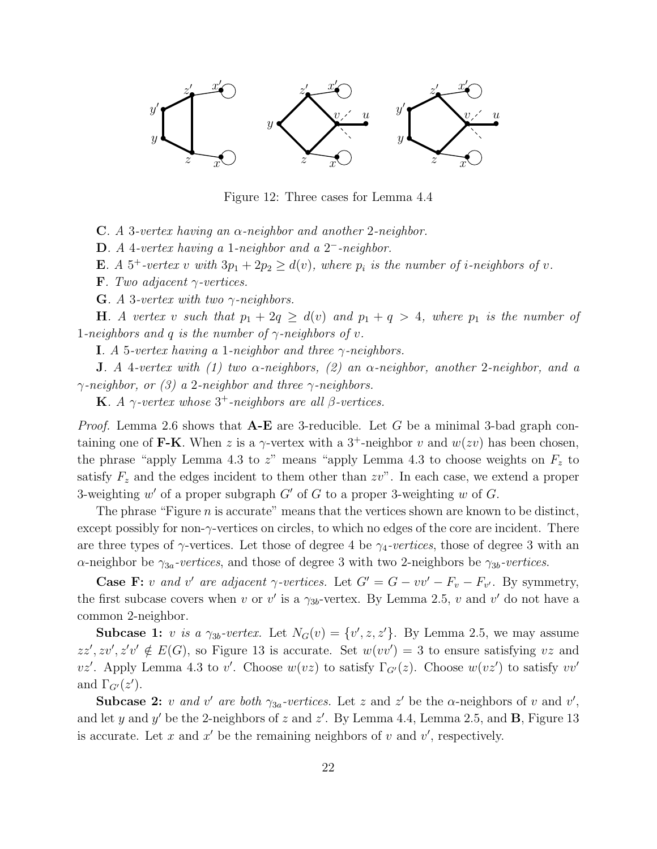

Figure 12: Three cases for Lemma 4.4

C*. A* 3*-vertex having an* α*-neighbor and another* 2*-neighbor.*

D*. A* 4*-vertex having a* 1*-neighbor and a* 2 <sup>−</sup>*-neighbor.*

**E***.* A 5<sup>+</sup>-vertex v with  $3p_1 + 2p_2 \geq d(v)$ , where  $p_i$  is the number of *i*-neighbors of v.

F*. Two adjacent* γ*-vertices.*

G*. A* 3*-vertex with two* γ*-neighbors.*

**H**. A vertex v such that  $p_1 + 2q \geq d(v)$  and  $p_1 + q > 4$ , where  $p_1$  is the number of 1*-neighbors and* q *is the number of* γ*-neighbors of* v*.*

I*. A* 5*-vertex having a* 1*-neighbor and three* γ*-neighbors.*

J*. A* 4*-vertex with (1) two* α*-neighbors, (2) an* α*-neighbor, another* 2*-neighbor, and a* γ*-neighbor, or (3) a* 2*-neighbor and three* γ*-neighbors.*

**K***. A*  $\gamma$ -vertex whose  $3^+$ -neighbors are all  $\beta$ -vertices.

*Proof.* Lemma 2.6 shows that **A-E** are 3-reducible. Let G be a minimal 3-bad graph containing one of F-K. When z is a  $\gamma$ -vertex with a 3<sup>+</sup>-neighbor v and  $w(zv)$  has been chosen, the phrase "apply Lemma 4.3 to z" means "apply Lemma 4.3 to choose weights on  $F<sub>z</sub>$  to satisfy  $F_z$  and the edges incident to them other than  $zv$ ". In each case, we extend a proper 3-weighting  $w'$  of a proper subgraph  $G'$  of G to a proper 3-weighting w of G.

The phrase "Figure *n* is accurate" means that the vertices shown are known to be distinct, except possibly for non-γ-vertices on circles, to which no edges of the core are incident. There are three types of  $\gamma$ -vertices. Let those of degree 4 be  $\gamma_4$ -vertices, those of degree 3 with an  $\alpha$ -neighbor be  $\gamma_{3a}$ -vertices, and those of degree 3 with two 2-neighbors be  $\gamma_{3b}$ -vertices.

**Case F:** v and v' are adjacent  $\gamma$ -vertices. Let  $G' = G - vv' - F_v - F_{v'}$ . By symmetry, the first subcase covers when v or v' is a  $\gamma_{3b}$ -vertex. By Lemma 2.5, v and v' do not have a common 2-neighbor.

**Subcase 1:** v is a  $\gamma_{3b}$ -vertex. Let  $N_G(v) = \{v', z, z'\}$ . By Lemma 2.5, we may assume  $zz', zv', z'v' \notin E(G)$ , so Figure 13 is accurate. Set  $w(vv') = 3$  to ensure satisfying vz and vz'. Apply Lemma 4.3 to v'. Choose  $w(vz)$  to satisfy  $\Gamma_{G'}(z)$ . Choose  $w(vz')$  to satisfy vv' and  $\Gamma_{G'}(z')$ .

**Subcase 2:** v and v' are both  $\gamma_{3a}$ -vertices. Let z and z' be the  $\alpha$ -neighbors of v and v', and let y and y' be the 2-neighbors of z and z'. By Lemma 4.4, Lemma 2.5, and **B**, Figure 13 is accurate. Let x and  $x'$  be the remaining neighbors of v and  $v'$ , respectively.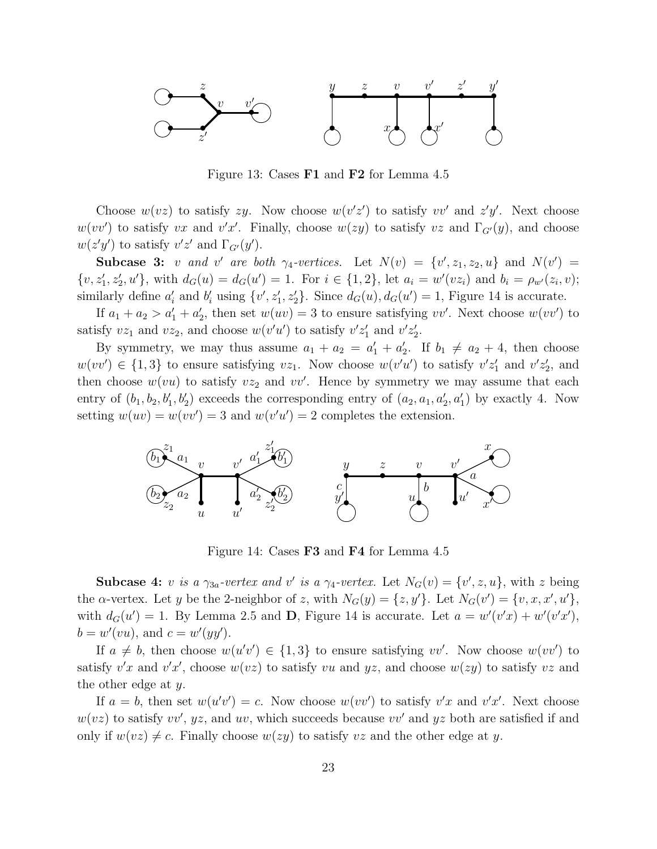

Figure 13: Cases **F1** and **F2** for Lemma 4.5

Choose  $w(vz)$  to satisfy zy. Now choose  $w(v'z')$  to satisfy  $vv'$  and  $z'y'$ . Next choose  $w(vv')$  to satisfy vx and  $v'x'$ . Finally, choose  $w(zy)$  to satisfy vz and  $\Gamma_{G'}(y)$ , and choose  $w(z'y')$  to satisfy  $v'z'$  and  $\Gamma_{G'}(y')$ .

Subcase 3: v and v' are both  $\gamma_4$ -vertices. Let  $N(v) = \{v', z_1, z_2, u\}$  and  $N(v') =$  $\{v, z'_1, z'_2, u'\}$ , with  $d_G(u) = d_G(u') = 1$ . For  $i \in \{1, 2\}$ , let  $a_i = w'(v z_i)$  and  $b_i = \rho_{w'}(z_i, v)$ ; similarly define  $a'_i$  and  $b'_i$  using  $\{v', z'_1, z'_2\}$ . Since  $d_G(u), d_G(u') = 1$ , Figure 14 is accurate.

If  $a_1 + a_2 > a'_1 + a'_2$ , then set  $w(uv) = 3$  to ensure satisfying vv'. Next choose  $w(vv')$  to satisfy  $vz_1$  and  $vz_2$ , and choose  $w(v'u')$  to satisfy  $v'z'_1$  and  $v'z'_2$ .

By symmetry, we may thus assume  $a_1 + a_2 = a'_1 + a'_2$ . If  $b_1 \neq a_2 + 4$ , then choose  $w(vv') \in \{1,3\}$  to ensure satisfying  $vz_1$ . Now choose  $w(v'u')$  to satisfy  $v'z'_1$  and  $v'z'_2$ , and then choose  $w(vu)$  to satisfy  $vz_2$  and  $vv'$ . Hence by symmetry we may assume that each entry of  $(b_1, b_2, b'_1, b'_2)$  exceeds the corresponding entry of  $(a_2, a_1, a'_2, a'_1)$  by exactly 4. Now setting  $w(uv) = w(vv') = 3$  and  $w(v'u') = 2$  completes the extension.



Figure 14: Cases **F3** and **F4** for Lemma 4.5

**Subcase 4:** v is a  $\gamma_{3a}$ -vertex and v' is a  $\gamma_4$ -vertex. Let  $N_G(v) = \{v', z, u\}$ , with z being the  $\alpha$ -vertex. Let y be the 2-neighbor of z, with  $N_G(y) = \{z, y'\}$ . Let  $N_G(v') = \{v, x, x', u'\}$ , with  $d_G(u') = 1$ . By Lemma 2.5 and **D**, Figure 14 is accurate. Let  $a = w'(v'x) + w'(v'x')$ ,  $b = w'(vu)$ , and  $c = w'(yy')$ .

If  $a \neq b$ , then choose  $w(u'v') \in \{1,3\}$  to ensure satisfying vv'. Now choose  $w(vv')$  to satisfy  $v'x$  and  $v'x'$ , choose  $w(vz)$  to satisfy vu and yz, and choose  $w(zy)$  to satisfy vz and the other edge at y.

If  $a = b$ , then set  $w(u'v') = c$ . Now choose  $w(vv')$  to satisfy  $v'x$  and  $v'x'$ . Next choose  $w(vz)$  to satisfy  $vv'$ ,  $yz$ , and  $uv$ , which succeeds because  $vv'$  and  $yz$  both are satisfied if and only if  $w(vz) \neq c$ . Finally choose  $w(zy)$  to satisfy vz and the other edge at y.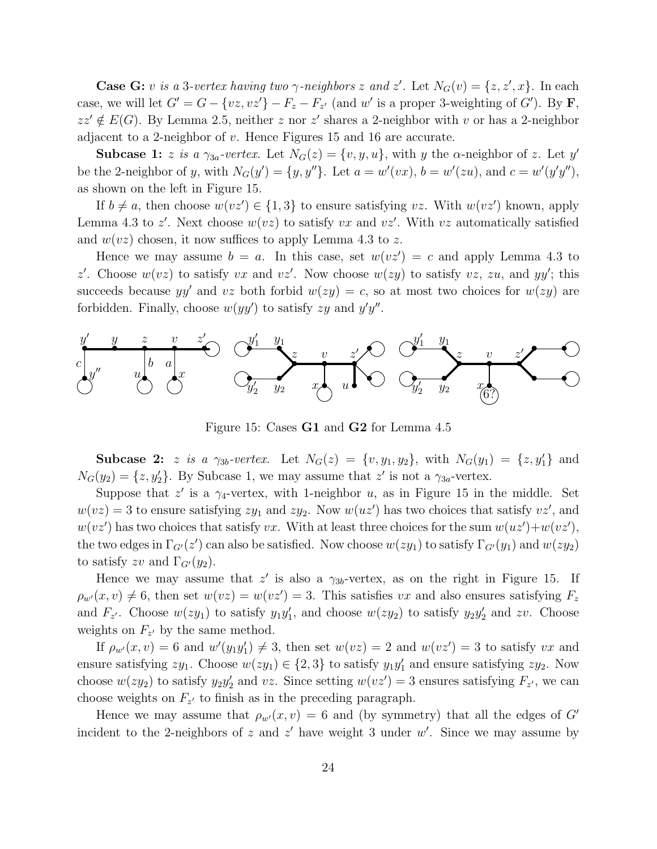**Case G:** v is a 3-vertex having two  $\gamma$ -neighbors z and z'. Let  $N_G(v) = \{z, z', x\}$ . In each case, we will let  $G' = G - \{vz, vz'\} - F_z - F_{z'}$  (and w' is a proper 3-weighting of G'). By **F**,  $zz' \notin E(G)$ . By Lemma 2.5, neither z nor z' shares a 2-neighbor with v or has a 2-neighbor adjacent to a 2-neighbor of v. Hence Figures 15 and 16 are accurate.

**Subcase 1:** z *is a*  $\gamma_{3a}$ -vertex. Let  $N_G(z) = \{v, y, u\}$ , with y the  $\alpha$ -neighbor of z. Let y' be the 2-neighbor of y, with  $N_G(y') = \{y, y''\}$ . Let  $a = w'(vx)$ ,  $b = w'(zu)$ , and  $c = w'(y'y'')$ , as shown on the left in Figure 15.

If  $b \neq a$ , then choose  $w(vz') \in \{1,3\}$  to ensure satisfying vz. With  $w(vz')$  known, apply Lemma 4.3 to  $z'$ . Next choose  $w(vz)$  to satisfy  $vx$  and  $vz'$ . With  $vz$  automatically satisfied and  $w(vz)$  chosen, it now suffices to apply Lemma 4.3 to z.

Hence we may assume  $b = a$ . In this case, set  $w(vz') = c$  and apply Lemma 4.3 to z'. Choose  $w(vz)$  to satisfy vx and vz'. Now choose  $w(zy)$  to satisfy vz, zu, and yy'; this succeeds because yy' and vz both forbid  $w(zy) = c$ , so at most two choices for  $w(zy)$  are forbidden. Finally, choose  $w(yy')$  to satisfy zy and  $y'y''$ .



Figure 15: Cases G1 and G2 for Lemma 4.5

Subcase 2: *z is a*  $\gamma_{3b}$ -vertex. Let  $N_G(z) = \{v, y_1, y_2\}$ , with  $N_G(y_1) = \{z, y'_1\}$  and  $N_G(y_2) = \{z, y'_2\}$ . By Subcase 1, we may assume that  $z'$  is not a  $\gamma_{3a}$ -vertex.

Suppose that  $z'$  is a  $\gamma_4$ -vertex, with 1-neighbor u, as in Figure 15 in the middle. Set  $w(vz) = 3$  to ensure satisfying  $zy_1$  and  $zy_2$ . Now  $w(uz')$  has two choices that satisfy  $vz'$ , and  $w(vz')$  has two choices that satisfy vx. With at least three choices for the sum  $w(uz') + w(vz')$ , the two edges in  $\Gamma_{G'}(z')$  can also be satisfied. Now choose  $w(zy_1)$  to satisfy  $\Gamma_{G'}(y_1)$  and  $w(zy_2)$ to satisfy zv and  $\Gamma_{G'}(y_2)$ .

Hence we may assume that  $z'$  is also a  $\gamma_{3b}$ -vertex, as on the right in Figure 15. If  $\rho_{w'}(x,v) \neq 6$ , then set  $w(vz) = w(vz') = 3$ . This satisfies vx and also ensures satisfying  $F_z$ and  $F_{z'}$ . Choose  $w(zy_1)$  to satisfy  $y_1y'_1$ , and choose  $w(zy_2)$  to satisfy  $y_2y'_2$  and  $zv$ . Choose weights on  $F_{z'}$  by the same method.

If  $\rho_{w'}(x,v) = 6$  and  $w'(y_1y'_1) \neq 3$ , then set  $w(vz) = 2$  and  $w(vz') = 3$  to satisfy vx and ensure satisfying  $zy_1$ . Choose  $w(zy_1) \in \{2,3\}$  to satisfy  $y_1y_1'$  and ensure satisfying  $zy_2$ . Now choose  $w(zy_2)$  to satisfy  $y_2y_2'$  and vz. Since setting  $w(vz') = 3$  ensures satisfying  $F_{z'}$ , we can choose weights on  $F_{z'}$  to finish as in the preceding paragraph.

Hence we may assume that  $\rho_{w'}(x, v) = 6$  and (by symmetry) that all the edges of G' incident to the 2-neighbors of z and  $z'$  have weight 3 under  $w'$ . Since we may assume by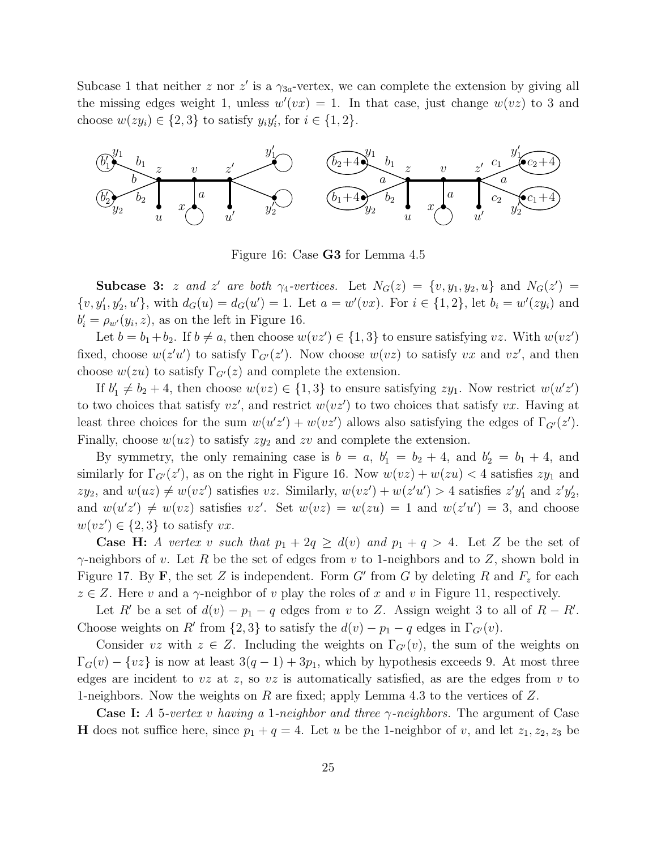Subcase 1 that neither z nor z' is a  $\gamma_{3a}$ -vertex, we can complete the extension by giving all the missing edges weight 1, unless  $w'(vx) = 1$ . In that case, just change  $w(vz)$  to 3 and choose  $w(zy_i) \in \{2,3\}$  to satisfy  $y_i y_i'$ , for  $i \in \{1,2\}$ .



Figure 16: Case G3 for Lemma 4.5

**Subcase 3:** z and z' are both  $\gamma_4$ -vertices. Let  $N_G(z) = \{v, y_1, y_2, u\}$  and  $N_G(z') =$  $\{v, y'_1, y'_2, u'\}$ , with  $d_G(u) = d_G(u') = 1$ . Let  $a = w'(vx)$ . For  $i \in \{1, 2\}$ , let  $b_i = w'(zy_i)$  and  $b_i' = \rho_{w'}(y_i, z)$ , as on the left in Figure 16.

Let  $b = b_1 + b_2$ . If  $b \neq a$ , then choose  $w(vz') \in \{1,3\}$  to ensure satisfying vz. With  $w(vz')$ fixed, choose  $w(z'u')$  to satisfy  $\Gamma_{G'}(z')$ . Now choose  $w(vz)$  to satisfy vx and vz', and then choose  $w(zu)$  to satisfy  $\Gamma_{G'}(z)$  and complete the extension.

If  $b'_1 \neq b_2 + 4$ , then choose  $w(vz) \in \{1,3\}$  to ensure satisfying  $zy_1$ . Now restrict  $w(u'z')$ to two choices that satisfy  $vz'$ , and restrict  $w(vz')$  to two choices that satisfy vx. Having at least three choices for the sum  $w(u'z') + w(vz')$  allows also satisfying the edges of  $\Gamma_{G'}(z')$ . Finally, choose  $w(uz)$  to satisfy  $zy_2$  and  $zv$  and complete the extension.

By symmetry, the only remaining case is  $b = a$ ,  $b'_1 = b_2 + 4$ , and  $b'_2 = b_1 + 4$ , and similarly for  $\Gamma_{G'}(z')$ , as on the right in Figure 16. Now  $w(vz) + w(zu) < 4$  satisfies  $zy_1$  and  $zy_2$ , and  $w(uz) \neq w(vz')$  satisfies vz. Similarly,  $w(vz') + w(z'u') > 4$  satisfies  $z'y'_1$  and  $z'y'_2$ , and  $w(u'z') \neq w(vz)$  satisfies  $vz'$ . Set  $w(vz) = w(zu) = 1$  and  $w(z'u') = 3$ , and choose  $w(vz') \in \{2,3\}$  to satisfy vx.

**Case H:** A vertex v such that  $p_1 + 2q \geq d(v)$  and  $p_1 + q > 4$ . Let Z be the set of  $\gamma$ -neighbors of v. Let R be the set of edges from v to 1-neighbors and to Z, shown bold in Figure 17. By **F**, the set Z is independent. Form G' from G by deleting R and  $F_z$  for each  $z \in \mathbb{Z}$ . Here v and a  $\gamma$ -neighbor of v play the roles of x and v in Figure 11, respectively.

Let R' be a set of  $d(v) - p_1 - q$  edges from v to Z. Assign weight 3 to all of  $R - R'$ . Choose weights on R' from  $\{2,3\}$  to satisfy the  $d(v) - p_1 - q$  edges in  $\Gamma_{G'}(v)$ .

Consider vz with  $z \in Z$ . Including the weights on  $\Gamma_{G'}(v)$ , the sum of the weights on  $\Gamma_G(v) - \{vz\}$  is now at least  $3(q-1) + 3p_1$ , which by hypothesis exceeds 9. At most three edges are incident to vz at z, so vz is automatically satisfied, as are the edges from v to 1-neighbors. Now the weights on R are fixed; apply Lemma 4.3 to the vertices of Z.

Case I: *A* 5*-vertex* v *having a* 1*-neighbor and three* γ*-neighbors.* The argument of Case **H** does not suffice here, since  $p_1 + q = 4$ . Let u be the 1-neighbor of v, and let  $z_1, z_2, z_3$  be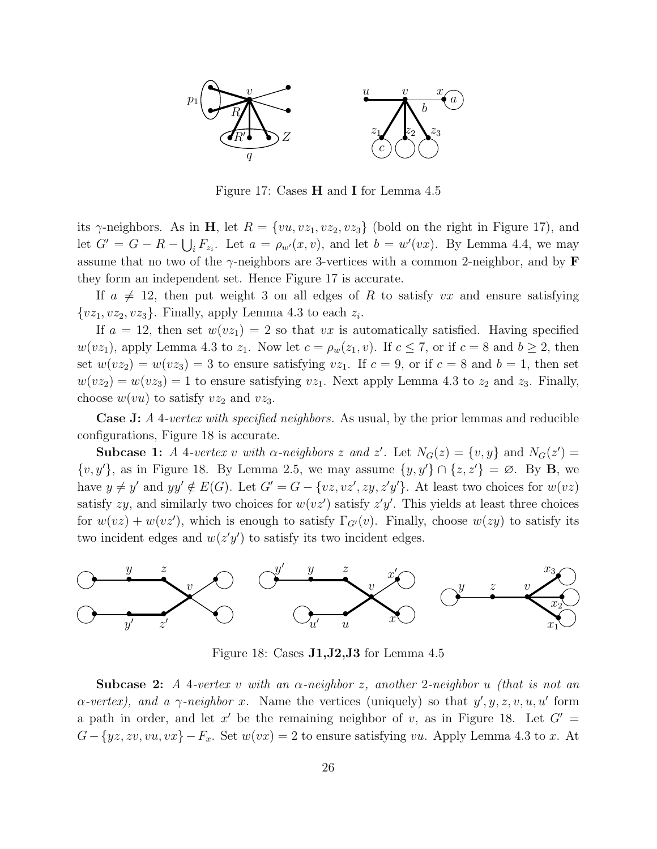

Figure 17: Cases H and I for Lemma 4.5

its  $\gamma$ -neighbors. As in **H**, let  $R = \{vu, vz_1, vz_2, vz_3\}$  (bold on the right in Figure 17), and let  $G' = G - R - \bigcup_i F_{z_i}$ . Let  $a = \rho_{w'}(x, v)$ , and let  $b = w'(vx)$ . By Lemma 4.4, we may assume that no two of the  $\gamma$ -neighbors are 3-vertices with a common 2-neighbor, and by **F** they form an independent set. Hence Figure 17 is accurate.

If  $a \neq 12$ , then put weight 3 on all edges of R to satisfy vx and ensure satisfying  $\{v_1, v_2, v_3\}$ . Finally, apply Lemma 4.3 to each  $z_i$ .

If  $a = 12$ , then set  $w(vz_1) = 2$  so that vx is automatically satisfied. Having specified  $w(vz_1)$ , apply Lemma 4.3 to  $z_1$ . Now let  $c = \rho_w(z_1, v)$ . If  $c \le 7$ , or if  $c = 8$  and  $b \ge 2$ , then set  $w(vz_2) = w(vz_3) = 3$  to ensure satisfying  $vz_1$ . If  $c = 9$ , or if  $c = 8$  and  $b = 1$ , then set  $w(vz_2) = w(vz_3) = 1$  to ensure satisfying  $vz_1$ . Next apply Lemma 4.3 to  $z_2$  and  $z_3$ . Finally, choose  $w(vu)$  to satisfy  $vz_2$  and  $vz_3$ .

Case J: *A* 4*-vertex with specified neighbors.* As usual, by the prior lemmas and reducible configurations, Figure 18 is accurate.

**Subcase 1:** *A* 4*-vertex* v with  $\alpha$ -neighbors z and z'. Let  $N_G(z) = \{v, y\}$  and  $N_G(z') =$  $\{v, y'\}$ , as in Figure 18. By Lemma 2.5, we may assume  $\{y, y'\} \cap \{z, z'\} = \emptyset$ . By **B**, we have  $y \neq y'$  and  $yy' \notin E(G)$ . Let  $G' = G - \{vz, vz', zy, z'y'\}$ . At least two choices for  $w(vz)$ satisfy  $zy$ , and similarly two choices for  $w(vz')$  satisfy  $z'y'$ . This yields at least three choices for  $w(vz) + w(vz')$ , which is enough to satisfy  $\Gamma_{G'}(v)$ . Finally, choose  $w(zy)$  to satisfy its two incident edges and  $w(z'y')$  to satisfy its two incident edges.



Figure 18: Cases J1,J2,J3 for Lemma 4.5

Subcase 2: *A* 4*-vertex* v *with an* α*-neighbor* z*, another* 2*-neighbor* u *(that is not an*  $\alpha$ -vertex), and a  $\gamma$ -neighbor x. Name the vertices (uniquely) so that  $y', y, z, v, u, u'$  form a path in order, and let  $x'$  be the remaining neighbor of v, as in Figure 18. Let  $G' =$  $G-\{yz, zv, vu, vx\}-F_x$ . Set  $w(vx)=2$  to ensure satisfying vu. Apply Lemma 4.3 to x. At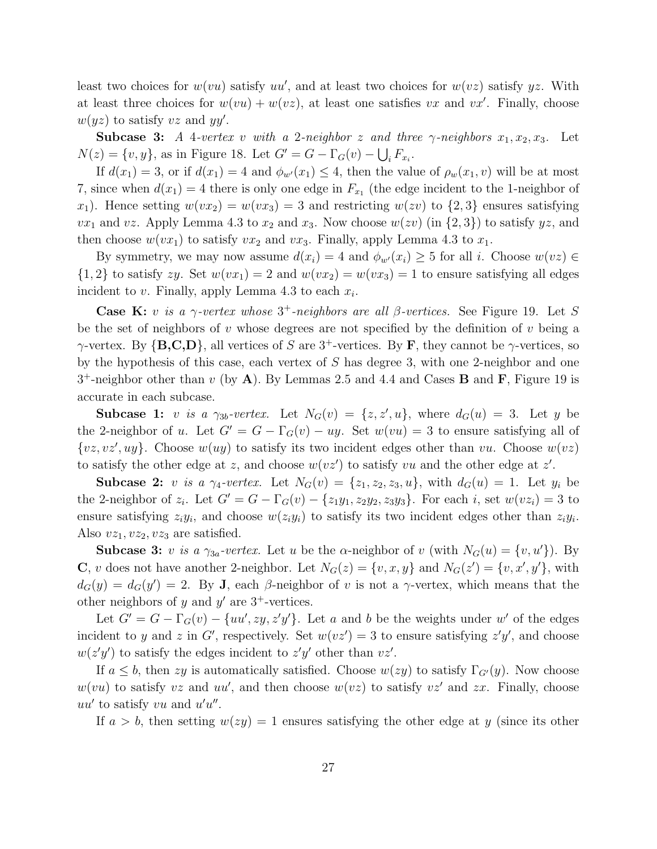least two choices for  $w(vu)$  satisfy  $uu'$ , and at least two choices for  $w(vz)$  satisfy yz. With at least three choices for  $w(vu) + w(vz)$ , at least one satisfies vx and vx'. Finally, choose  $w(yz)$  to satisfy vz and yy'.

**Subcase 3:** *A* 4*-vertex* v with a 2*-neighbor* z and three  $\gamma$ -neighbors  $x_1, x_2, x_3$ . Let  $N(z) = \{v, y\}$ , as in Figure 18. Let  $G' = G - \Gamma_G(v) - \bigcup_i F_{x_i}$ .

If  $d(x_1) = 3$ , or if  $d(x_1) = 4$  and  $\phi_{w'}(x_1) \leq 4$ , then the value of  $\rho_w(x_1, v)$  will be at most 7, since when  $d(x_1) = 4$  there is only one edge in  $F_{x_1}$  (the edge incident to the 1-neighbor of  $x_1$ ). Hence setting  $w(vx_2) = w(vx_3) = 3$  and restricting  $w(zv)$  to  $\{2,3\}$  ensures satisfying  $vx_1$  and vz. Apply Lemma 4.3 to  $x_2$  and  $x_3$ . Now choose  $w(zv)$  (in  $\{2,3\}$ ) to satisfy  $yz$ , and then choose  $w(vx_1)$  to satisfy  $vx_2$  and  $vx_3$ . Finally, apply Lemma 4.3 to  $x_1$ .

By symmetry, we may now assume  $d(x_i) = 4$  and  $\phi_{w'}(x_i) \geq 5$  for all i. Choose  $w(vz) \in$  $\{1,2\}$  to satisfy zy. Set  $w(vx_1) = 2$  and  $w(vx_2) = w(vx_3) = 1$  to ensure satisfying all edges incident to v. Finally, apply Lemma 4.3 to each  $x_i$ .

Case K: v is a  $\gamma$ -vertex whose  $3^+$ -neighbors are all  $\beta$ -vertices. See Figure 19. Let S be the set of neighbors of v whose degrees are not specified by the definition of v being a  $\gamma$ -vertex. By {**B**,C,D}, all vertices of S are 3<sup>+</sup>-vertices. By **F**, they cannot be  $\gamma$ -vertices, so by the hypothesis of this case, each vertex of S has degree 3, with one 2-neighbor and one  $3^+$ -neighbor other than v (by A). By Lemmas 2.5 and 4.4 and Cases **B** and **F**, Figure 19 is accurate in each subcase.

**Subcase 1:** v is a  $\gamma_{3b}$ -vertex. Let  $N_G(v) = \{z, z', u\}$ , where  $d_G(u) = 3$ . Let y be the 2-neighbor of u. Let  $G' = G - \Gamma_G(v) - uy$ . Set  $w(vu) = 3$  to ensure satisfying all of  $\{v, vz', uy\}.$  Choose  $w(uy)$  to satisfy its two incident edges other than vu. Choose  $w(vz)$ to satisfy the other edge at z, and choose  $w(vz')$  to satisfy vu and the other edge at z'.

Subcase 2: *v is a*  $\gamma_4$ -*vertex.* Let  $N_G(v) = \{z_1, z_2, z_3, u\}$ , with  $d_G(u) = 1$ . Let  $y_i$  be the 2-neighbor of  $z_i$ . Let  $G' = G - \Gamma_G(v) - \{z_1y_1, z_2y_2, z_3y_3\}$ . For each i, set  $w(vz_i) = 3$  to ensure satisfying  $z_i y_i$ , and choose  $w(z_i y_i)$  to satisfy its two incident edges other than  $z_i y_i$ . Also  $vz_1, vz_2, vz_3$  are satisfied.

**Subcase 3:** v is a  $\gamma_{3a}$ -vertex. Let u be the  $\alpha$ -neighbor of v (with  $N_G(u) = \{v, u'\}$ ). By **C**, v does not have another 2-neighbor. Let  $N_G(z) = \{v, x, y\}$  and  $N_G(z') = \{v, x', y'\}$ , with  $d_G(y) = d_G(y') = 2$ . By **J**, each  $\beta$ -neighbor of v is not a  $\gamma$ -vertex, which means that the other neighbors of y and  $y'$  are 3<sup>+</sup>-vertices.

Let  $G' = G - \Gamma_G(v) - \{uu', zy, z'y'\}$ . Let a and b be the weights under w' of the edges incident to y and z in G', respectively. Set  $w(vz') = 3$  to ensure satisfying  $z'y'$ , and choose  $w(z'y')$  to satisfy the edges incident to  $z'y'$  other than  $vz'$ .

If  $a \leq b$ , then zy is automatically satisfied. Choose  $w(zy)$  to satisfy  $\Gamma_{G'}(y)$ . Now choose  $w(vu)$  to satisfy vz and  $uu'$ , and then choose  $w(vz)$  to satisfy vz' and zx. Finally, choose  $uu'$  to satisfy vu and  $u'u''$ .

If  $a > b$ , then setting  $w(zy) = 1$  ensures satisfying the other edge at y (since its other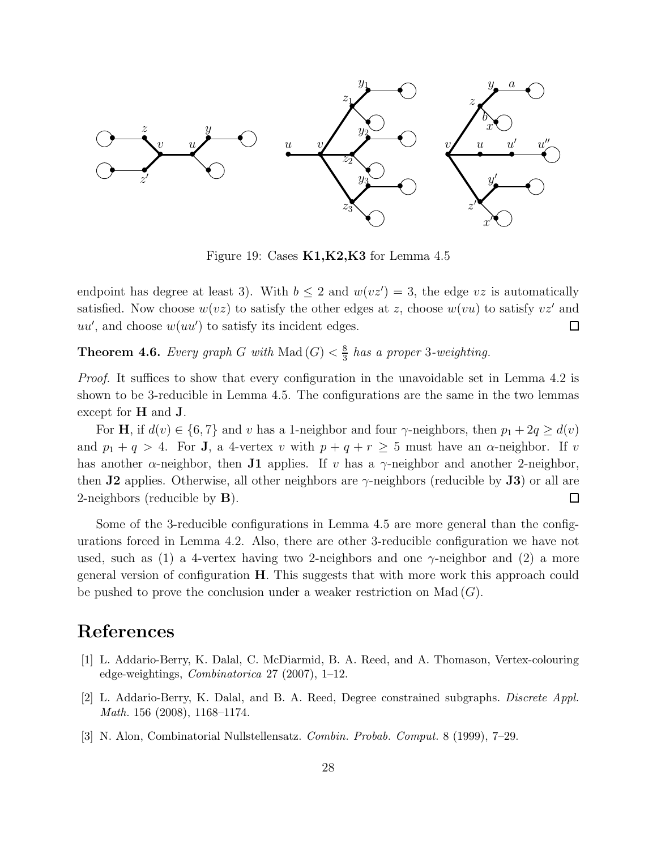

Figure 19: Cases K1,K2,K3 for Lemma 4.5

endpoint has degree at least 3). With  $b \leq 2$  and  $w(vz') = 3$ , the edge vz is automatically satisfied. Now choose  $w(vz)$  to satisfy the other edges at z, choose  $w(vu)$  to satisfy  $vz'$  and  $uu'$ , and choose  $w(uu')$  to satisfy its incident edges.  $\Box$ 

**Theorem 4.6.** *Every graph* G *with* Mad  $(G) < \frac{8}{3}$ 3 *has a proper* 3*-weighting.*

*Proof.* It suffices to show that every configuration in the unavoidable set in Lemma 4.2 is shown to be 3-reducible in Lemma 4.5. The configurations are the same in the two lemmas except for H and J.

For **H**, if  $d(v) \in \{6, 7\}$  and v has a 1-neighbor and four  $\gamma$ -neighbors, then  $p_1 + 2q \geq d(v)$ and  $p_1 + q > 4$ . For **J**, a 4-vertex v with  $p + q + r \geq 5$  must have an  $\alpha$ -neighbor. If v has another  $\alpha$ -neighbor, then **J1** applies. If v has a  $\gamma$ -neighbor and another 2-neighbor, then **J2** applies. Otherwise, all other neighbors are  $\gamma$ -neighbors (reducible by **J3**) or all are 2-neighbors (reducible by B).  $\Box$ 

Some of the 3-reducible configurations in Lemma 4.5 are more general than the configurations forced in Lemma 4.2. Also, there are other 3-reducible configuration we have not used, such as (1) a 4-vertex having two 2-neighbors and one  $\gamma$ -neighbor and (2) a more general version of configuration  $H$ . This suggests that with more work this approach could be pushed to prove the conclusion under a weaker restriction on  $\text{Mad}(G)$ .

### References

- [1] L. Addario-Berry, K. Dalal, C. McDiarmid, B. A. Reed, and A. Thomason, Vertex-colouring edge-weightings, Combinatorica 27 (2007), 1–12.
- [2] L. Addario-Berry, K. Dalal, and B. A. Reed, Degree constrained subgraphs. Discrete Appl. Math. 156 (2008), 1168–1174.
- [3] N. Alon, Combinatorial Nullstellensatz. Combin. Probab. Comput. 8 (1999), 7–29.